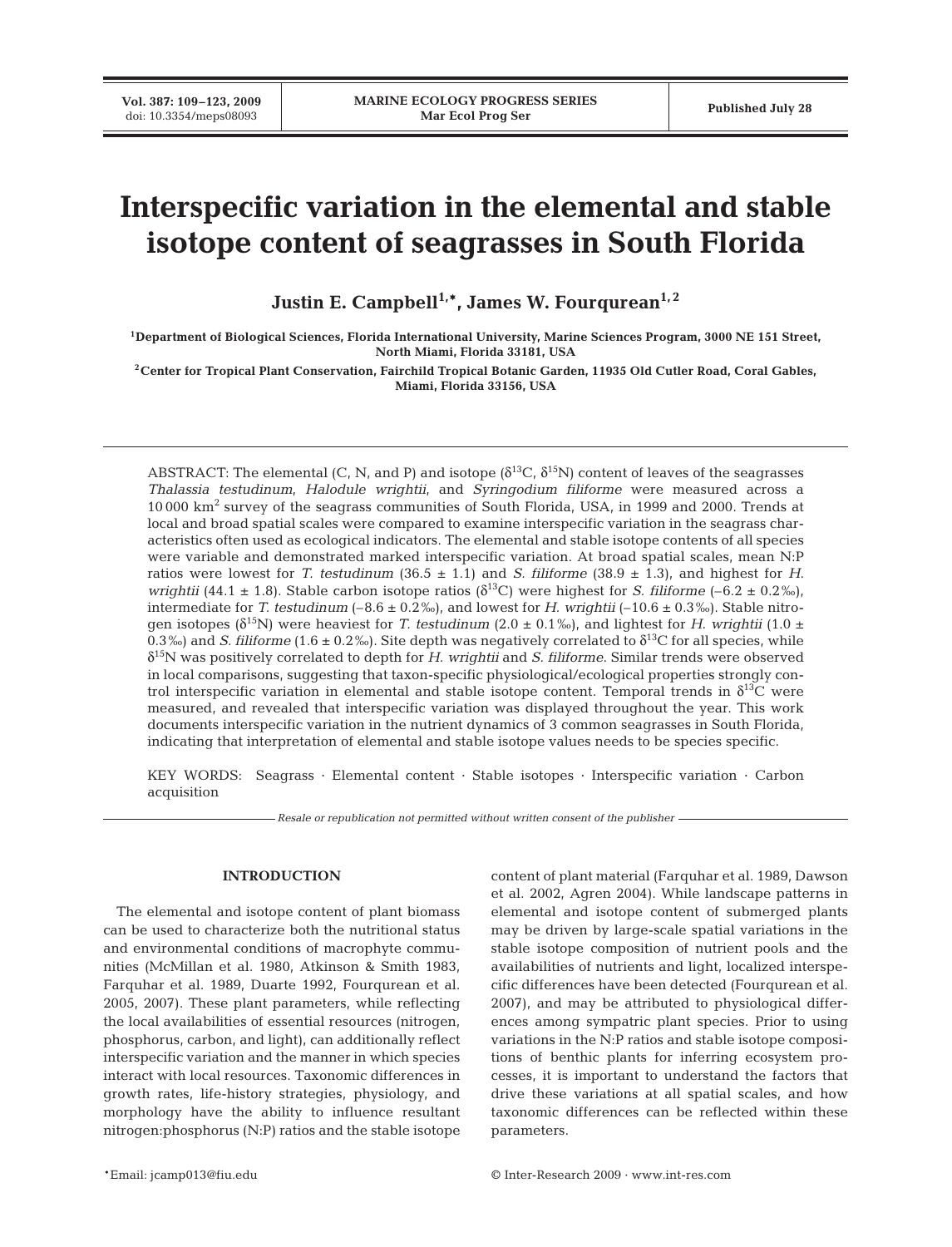# **Interspecific variation in the elemental and stable isotope content of seagrasses in South Florida**

Justin E. Campbell<sup>1,\*</sup>, James W. Fourqurean<sup>1,2</sup>

**1Department of Biological Sciences, Florida International University, Marine Sciences Program, 3000 NE 151 Street, North Miami, Florida 33181, USA**

**2Center for Tropical Plant Conservation, Fairchild Tropical Botanic Garden, 11935 Old Cutler Road, Coral Gables, Miami, Florida 33156, USA**

ABSTRACT: The elemental (C, N, and P) and isotope  $(\delta^{13}C, \delta^{15}N)$  content of leaves of the seagrasses *Thalassia testudinum*, *Halodule wrightii*, and *Syringodium filiforme* were measured across a 10 000 km2 survey of the seagrass communities of South Florida, USA, in 1999 and 2000. Trends at local and broad spatial scales were compared to examine interspecific variation in the seagrass characteristics often used as ecological indicators. The elemental and stable isotope contents of all species were variable and demonstrated marked interspecific variation. At broad spatial scales, mean N:P ratios were lowest for *T. testudinum* (36.5  $\pm$  1.1) and *S. filiforme* (38.9  $\pm$  1.3), and highest for *H. wrightii* (44.1 ± 1.8). Stable carbon isotope ratios ( $\delta^{13}$ C) were highest for *S. filiforme* (–6.2 ± 0.2‰), intermediate for *T. testudinum*  $(-8.6 \pm 0.2\%)$ , and lowest for *H. wrightii*  $(-10.6 \pm 0.3\%)$ . Stable nitrogen isotopes ( $\delta^{15}N$ ) were heaviest for *T. testudinum* (2.0  $\pm$  0.1‰), and lightest for *H. wrightii* (1.0  $\pm$ 0.3‰) and *S. filiforme* (1.6 ± 0.2‰). Site depth was negatively correlated to  $\delta^{13}C$  for all species, while δ15N was positively correlated to depth for *H. wrightii* and *S. filiforme*. Similar trends were observed in local comparisons, suggesting that taxon-specific physiological/ecological properties strongly control interspecific variation in elemental and stable isotope content. Temporal trends in  $\delta^{13}C$  were measured, and revealed that interspecific variation was displayed throughout the year. This work documents interspecific variation in the nutrient dynamics of 3 common seagrasses in South Florida, indicating that interpretation of elemental and stable isotope values needs to be species specific.

KEY WORDS: Seagrass · Elemental content · Stable isotopes · Interspecific variation · Carbon acquisition

*Resale or republication not permitted without written consent of the publisher*

# **INTRODUCTION**

The elemental and isotope content of plant biomass can be used to characterize both the nutritional status and environmental conditions of macrophyte communities (McMillan et al. 1980, Atkinson & Smith 1983, Farquhar et al. 1989, Duarte 1992, Fourqurean et al. 2005, 2007). These plant parameters, while reflecting the local availabilities of essential resources (nitrogen, phosphorus, carbon, and light), can additionally reflect interspecific variation and the manner in which species interact with local resources. Taxonomic differences in growth rates, life-history strategies, physiology, and morphology have the ability to influence resultant nitrogen:phosphorus (N:P) ratios and the stable isotope

content of plant material (Farquhar et al. 1989, Dawson et al. 2002, Agren 2004). While landscape patterns in elemental and isotope content of submerged plants may be driven by large-scale spatial variations in the stable isotope composition of nutrient pools and the availabilities of nutrients and light, localized interspecific differences have been detected (Fourqurean et al. 2007), and may be attributed to physiological differences among sympatric plant species. Prior to using variations in the N:P ratios and stable isotope compositions of benthic plants for inferring ecosystem processes, it is important to understand the factors that drive these variations at all spatial scales, and how taxonomic differences can be reflected within these parameters.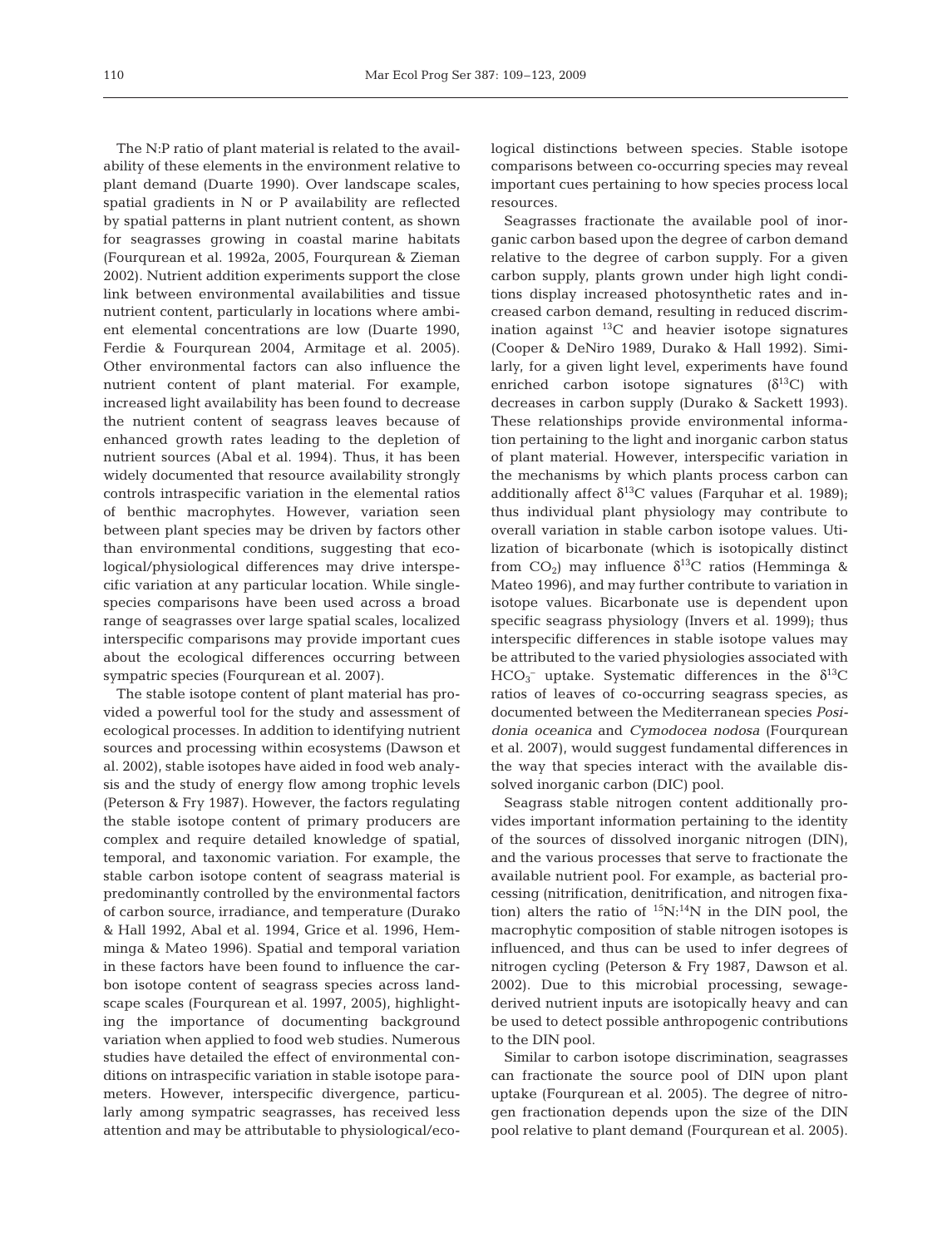The N:P ratio of plant material is related to the availability of these elements in the environment relative to plant demand (Duarte 1990). Over landscape scales, spatial gradients in N or P availability are reflected by spatial patterns in plant nutrient content, as shown for seagrasses growing in coastal marine habitats (Fourqurean et al. 1992a, 2005, Fourqurean & Zieman 2002). Nutrient addition experiments support the close link between environmental availabilities and tissue nutrient content, particularly in locations where ambient elemental concentrations are low (Duarte 1990, Ferdie & Fourqurean 2004, Armitage et al. 2005). Other environmental factors can also influence the nutrient content of plant material. For example, increased light availability has been found to decrease the nutrient content of seagrass leaves because of enhanced growth rates leading to the depletion of nutrient sources (Abal et al. 1994). Thus, it has been widely documented that resource availability strongly controls intraspecific variation in the elemental ratios of benthic macrophytes. However, variation seen between plant species may be driven by factors other than environmental conditions, suggesting that ecological/physiological differences may drive interspecific variation at any particular location. While singlespecies comparisons have been used across a broad range of seagrasses over large spatial scales, localized interspecific comparisons may provide important cues about the ecological differences occurring between sympatric species (Fourqurean et al. 2007).

The stable isotope content of plant material has provided a powerful tool for the study and assessment of ecological processes. In addition to identifying nutrient sources and processing within ecosystems (Dawson et al. 2002), stable isotopes have aided in food web analysis and the study of energy flow among trophic levels (Peterson & Fry 1987). However, the factors regulating the stable isotope content of primary producers are complex and require detailed knowledge of spatial, temporal, and taxonomic variation. For example, the stable carbon isotope content of seagrass material is predominantly controlled by the environmental factors of carbon source, irradiance, and temperature (Durako & Hall 1992, Abal et al. 1994, Grice et al. 1996, Hemminga & Mateo 1996). Spatial and temporal variation in these factors have been found to influence the carbon isotope content of seagrass species across landscape scales (Fourqurean et al. 1997, 2005), highlighting the importance of documenting background variation when applied to food web studies. Numerous studies have detailed the effect of environmental conditions on intraspecific variation in stable isotope parameters. However, interspecific divergence, particularly among sympatric seagrasses, has received less attention and may be attributable to physiological/ecological distinctions between species. Stable isotope comparisons between co-occurring species may reveal important cues pertaining to how species process local resources.

Seagrasses fractionate the available pool of inorganic carbon based upon the degree of carbon demand relative to the degree of carbon supply. For a given carbon supply, plants grown under high light conditions display increased photosynthetic rates and increased carbon demand, resulting in reduced discrimination against  $^{13}$ C and heavier isotope signatures (Cooper & DeNiro 1989, Durako & Hall 1992). Similarly, for a given light level, experiments have found enriched carbon isotope signatures  $(\delta^{13}C)$  with decreases in carbon supply (Durako & Sackett 1993). These relationships provide environmental information pertaining to the light and inorganic carbon status of plant material. However, interspecific variation in the mechanisms by which plants process carbon can additionally affect  $\delta^{13}$ C values (Farquhar et al. 1989); thus individual plant physiology may contribute to overall variation in stable carbon isotope values. Utilization of bicarbonate (which is isotopically distinct from CO<sub>2</sub>) may influence  $δ$ <sup>13</sup>C ratios (Hemminga & Mateo 1996), and may further contribute to variation in isotope values. Bicarbonate use is dependent upon specific seagrass physiology (Invers et al. 1999); thus interspecific differences in stable isotope values may be attributed to the varied physiologies associated with HCO<sub>3</sub><sup>-</sup> uptake. Systematic differences in the  $\delta^{13}$ C ratios of leaves of co-occurring seagrass species, as documented between the Mediterranean species *Posidonia oceanica* and *Cymodocea nodosa* (Fourqurean et al. 2007), would suggest fundamental differences in the way that species interact with the available dissolved inorganic carbon (DIC) pool.

Seagrass stable nitrogen content additionally provides important information pertaining to the identity of the sources of dissolved inorganic nitrogen (DIN), and the various processes that serve to fractionate the available nutrient pool. For example, as bacterial processing (nitrification, denitrification, and nitrogen fixation) alters the ratio of  ${}^{15}N$ :<sup>14</sup>N in the DIN pool, the macrophytic composition of stable nitrogen isotopes is influenced, and thus can be used to infer degrees of nitrogen cycling (Peterson & Fry 1987, Dawson et al. 2002). Due to this microbial processing, sewagederived nutrient inputs are isotopically heavy and can be used to detect possible anthropogenic contributions to the DIN pool.

Similar to carbon isotope discrimination, seagrasses can fractionate the source pool of DIN upon plant uptake (Fourqurean et al. 2005). The degree of nitrogen fractionation depends upon the size of the DIN pool relative to plant demand (Fourqurean et al. 2005).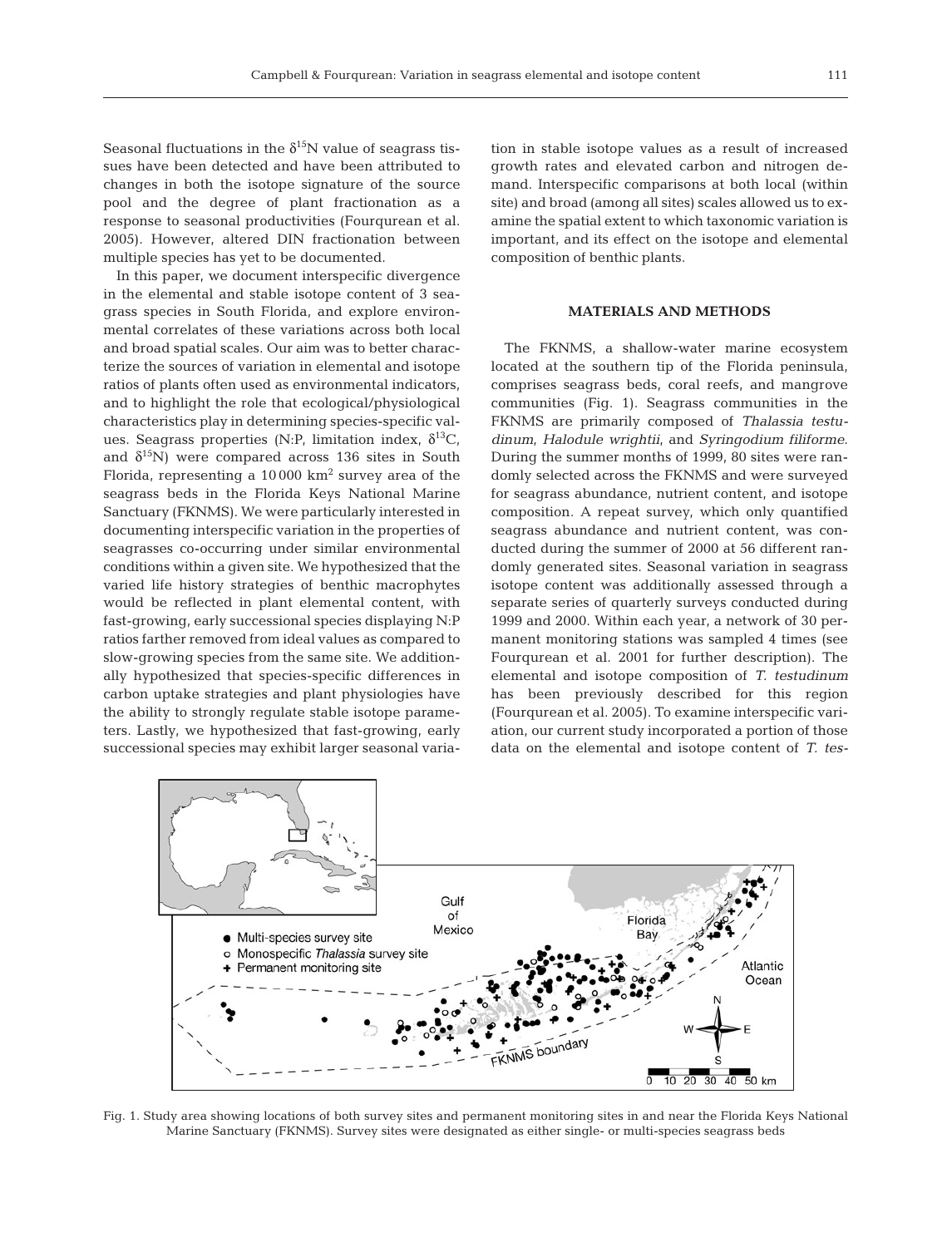Seasonal fluctuations in the  $\delta^{15}N$  value of seagrass tissues have been detected and have been attributed to changes in both the isotope signature of the source pool and the degree of plant fractionation as a response to seasonal productivities (Fourqurean et al. 2005). However, altered DIN fractionation between multiple species has yet to be documented.

In this paper, we document interspecific divergence in the elemental and stable isotope content of 3 seagrass species in South Florida, and explore environmental correlates of these variations across both local and broad spatial scales. Our aim was to better characterize the sources of variation in elemental and isotope ratios of plants often used as environmental indicators, and to highlight the role that ecological/physiological characteristics play in determining species-specific values. Seagrass properties (N:P, limitation index,  $\delta^{13}C$ , and  $\delta^{15}$ N) were compared across 136 sites in South Florida, representing a  $10000 \text{ km}^2$  survey area of the seagrass beds in the Florida Keys National Marine Sanctuary (FKNMS). We were particularly interested in documenting interspecific variation in the properties of seagrasses co-occurring under similar environmental conditions within a given site. We hypothesized that the varied life history strategies of benthic macrophytes would be reflected in plant elemental content, with fast-growing, early successional species displaying N:P ratios farther removed from ideal values as compared to slow-growing species from the same site. We additionally hypothesized that species-specific differences in carbon uptake strategies and plant physiologies have the ability to strongly regulate stable isotope parameters. Lastly, we hypothesized that fast-growing, early successional species may exhibit larger seasonal variation in stable isotope values as a result of increased growth rates and elevated carbon and nitrogen demand. Interspecific comparisons at both local (within site) and broad (among all sites) scales allowed us to examine the spatial extent to which taxonomic variation is important, and its effect on the isotope and elemental composition of benthic plants.

## **MATERIALS AND METHODS**

The FKNMS, a shallow-water marine ecosystem located at the southern tip of the Florida peninsula, comprises seagrass beds, coral reefs, and mangrove communities (Fig. 1). Seagrass communities in the FKNMS are primarily composed of *Thalassia testudinum*, *Halodule wrightii*, and *Syringodium filiforme*. During the summer months of 1999, 80 sites were randomly selected across the FKNMS and were surveyed for seagrass abundance, nutrient content, and isotope composition. A repeat survey, which only quantified seagrass abundance and nutrient content, was conducted during the summer of 2000 at 56 different randomly generated sites. Seasonal variation in seagrass isotope content was additionally assessed through a separate series of quarterly surveys conducted during 1999 and 2000. Within each year, a network of 30 permanent monitoring stations was sampled 4 times (see Fourqurean et al. 2001 for further description). The elemental and isotope composition of *T. testudinum* has been previously described for this region (Fourqurean et al. 2005). To examine interspecific variation, our current study incorporated a portion of those data on the elemental and isotope content of *T. tes-*



Fig. 1. Study area showing locations of both survey sites and permanent monitoring sites in and near the Florida Keys National Marine Sanctuary (FKNMS). Survey sites were designated as either single- or multi-species seagrass beds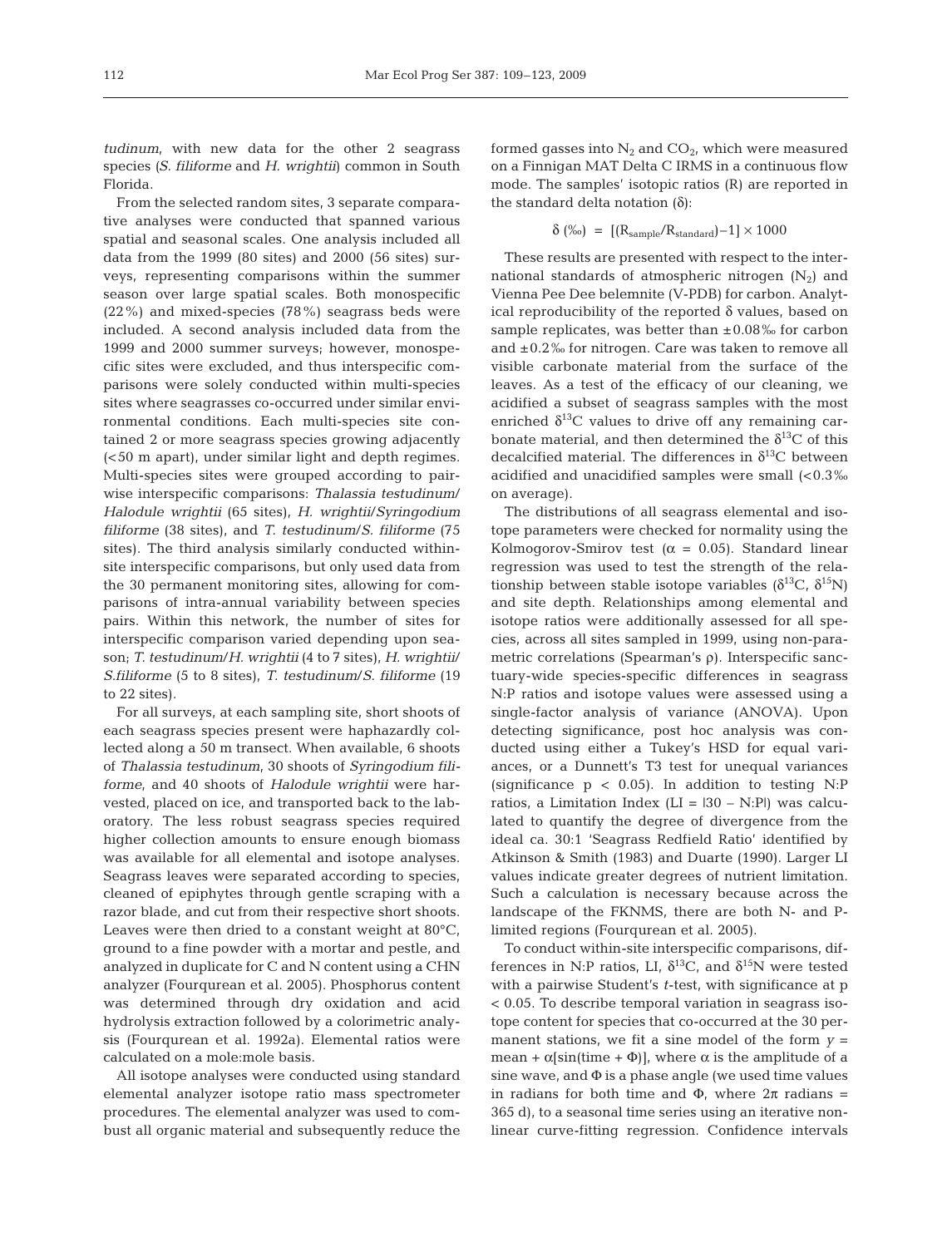*tudinum*, with new data for the other 2 seagrass species *(S. filiforme* and *H. wrightii*) common in South Florida.

From the selected random sites, 3 separate comparative analyses were conducted that spanned various spatial and seasonal scales. One analysis included all data from the 1999 (80 sites) and 2000 (56 sites) surveys, representing comparisons within the summer season over large spatial scales. Both monospecific (22%) and mixed-species (78%) seagrass beds were included. A second analysis included data from the 1999 and 2000 summer surveys; however, monospecific sites were excluded, and thus interspecific comparisons were solely conducted within multi-species sites where seagrasses co-occurred under similar environmental conditions. Each multi-species site contained 2 or more seagrass species growing adjacently (<50 m apart), under similar light and depth regimes. Multi-species sites were grouped according to pairwise interspecific comparisons: *Thalassia testudinum*/ *Halodule wrightii* (65 sites), *H. wrightii*/*Syringodium filiforme* (38 sites), and *T. testudinum*/*S. filiforme* (75 sites). The third analysis similarly conducted withinsite interspecific comparisons, but only used data from the 30 permanent monitoring sites, allowing for comparisons of intra-annual variability between species pairs. Within this network, the number of sites for interspecific comparison varied depending upon season; *T. testudinum*/*H. wrightii* (4 to 7 sites), *H. wrightii*/ *S.filiforme* (5 to 8 sites), *T. testudinum*/*S. filiforme* (19 to 22 sites).

For all surveys, at each sampling site, short shoots of each seagrass species present were haphazardly collected along a 50 m transect. When available, 6 shoots of *Thalassia testudinum*, 30 shoots of *Syringodium filiforme*, and 40 shoots of *Halodule wrightii* were harvested, placed on ice, and transported back to the laboratory. The less robust seagrass species required higher collection amounts to ensure enough biomass was available for all elemental and isotope analyses. Seagrass leaves were separated according to species, cleaned of epiphytes through gentle scraping with a razor blade, and cut from their respective short shoots. Leaves were then dried to a constant weight at 80°C, ground to a fine powder with a mortar and pestle, and analyzed in duplicate for C and N content using a CHN analyzer (Fourqurean et al. 2005). Phosphorus content was determined through dry oxidation and acid hydrolysis extraction followed by a colorimetric analysis (Fourqurean et al. 1992a). Elemental ratios were calculated on a mole:mole basis.

All isotope analyses were conducted using standard elemental analyzer isotope ratio mass spectrometer procedures. The elemental analyzer was used to combust all organic material and subsequently reduce the formed gasses into  $N_2$  and  $CO_2$ , which were measured on a Finnigan MAT Delta C IRMS in a continuous flow mode. The samples' isotopic ratios (R) are reported in the standard delta notation (δ):

$$
\delta~(\%)~=~[(R_{sample}/R_{standard})\!-\!1]\times1000
$$

These results are presented with respect to the international standards of atmospheric nitrogen  $(N_2)$  and Vienna Pee Dee belemnite (V-PDB) for carbon. Analytical reproducibility of the reported δ values, based on sample replicates, was better than  $\pm 0.08\%$  for carbon and ±0.2‰ for nitrogen. Care was taken to remove all visible carbonate material from the surface of the leaves. As a test of the efficacy of our cleaning, we acidified a subset of seagrass samples with the most enriched  $\delta^{13}$ C values to drive off any remaining carbonate material, and then determined the  $\delta^{13}$ C of this decalcified material. The differences in  $\delta^{13}$ C between acidified and unacidified samples were small  $\left( < 0.3 \right)$ % on average).

The distributions of all seagrass elemental and isotope parameters were checked for normality using the Kolmogorov-Smirov test ( $\alpha = 0.05$ ). Standard linear regression was used to test the strength of the relationship between stable isotope variables  $(\delta^{13}C, \delta^{15}N)$ and site depth. Relationships among elemental and isotope ratios were additionally assessed for all species, across all sites sampled in 1999, using non-parametric correlations (Spearman's ρ). Interspecific sanctuary-wide species-specific differences in seagrass N:P ratios and isotope values were assessed using a single-factor analysis of variance (ANOVA). Upon detecting significance, post hoc analysis was conducted using either a Tukey's HSD for equal variances, or a Dunnett's T3 test for unequal variances (significance  $p \lt 0.05$ ). In addition to testing N:P ratios, a Limitation Index (LI =  $|30 - NP|$ ) was calculated to quantify the degree of divergence from the ideal ca. 30:1 'Seagrass Redfield Ratio' identified by Atkinson & Smith (1983) and Duarte (1990). Larger LI values indicate greater degrees of nutrient limitation. Such a calculation is necessary because across the landscape of the FKNMS, there are both N- and Plimited regions (Fourqurean et al. 2005).

To conduct within-site interspecific comparisons, differences in N:P ratios, LI,  $\delta^{13}C$ , and  $\delta^{15}N$  were tested with a pairwise Student's *t*-test, with significance at p < 0.05. To describe temporal variation in seagrass isotope content for species that co-occurred at the 30 permanent stations, we fit a sine model of the form  $y =$ mean +  $\alpha$ [sin(time +  $\Phi$ )], where  $\alpha$  is the amplitude of a sine wave, and  $\Phi$  is a phase angle (we used time values in radians for both time and  $Φ$ , where  $2π$  radians = 365 d), to a seasonal time series using an iterative nonlinear curve-fitting regression. Confidence intervals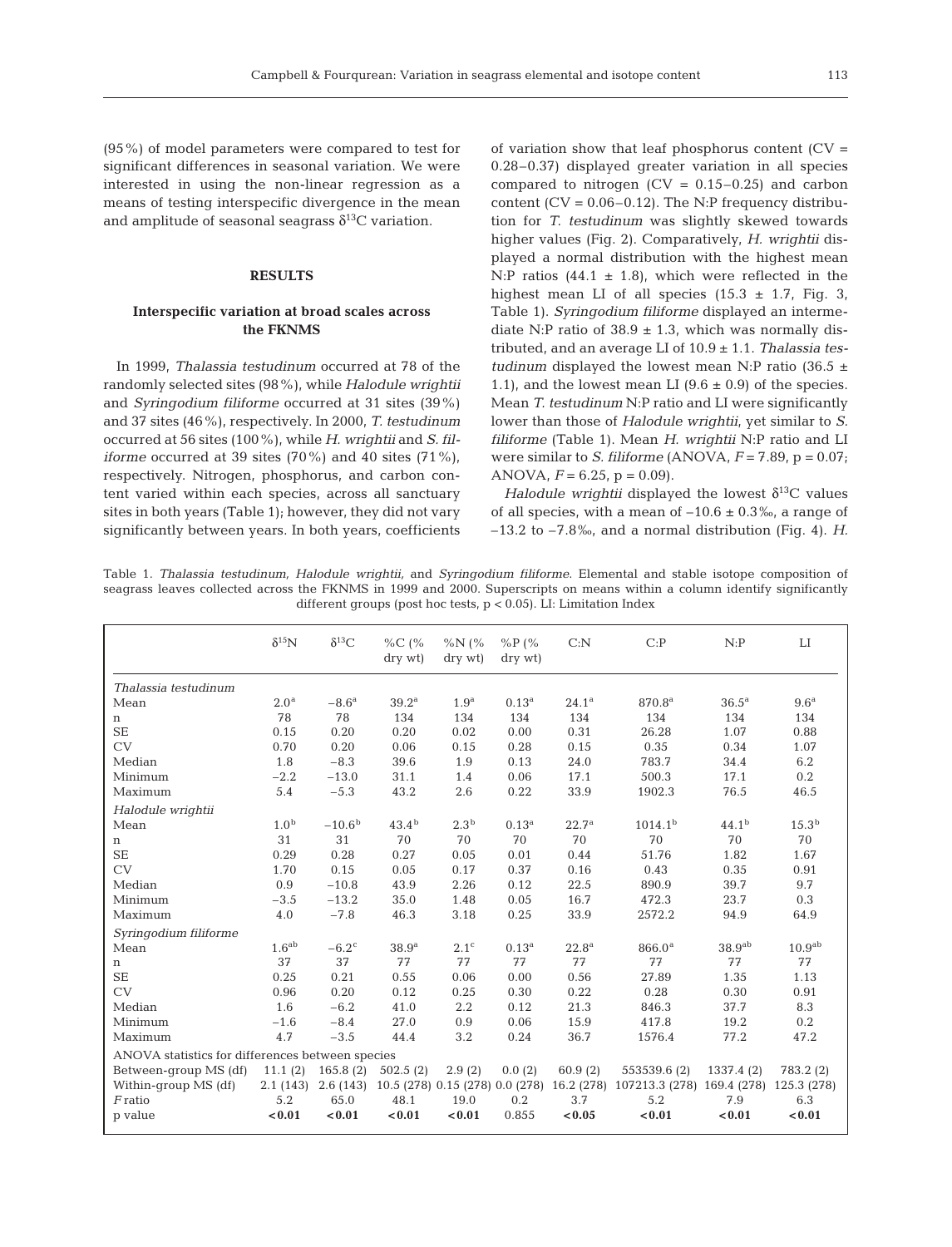(95%) of model parameters were compared to test for significant differences in seasonal variation. We were interested in using the non-linear regression as a means of testing interspecific divergence in the mean and amplitude of seasonal seagrass  $\delta^{13}$ C variation.

#### **RESULTS**

# **Interspecific variation at broad scales across the FKNMS**

In 1999, *Thalassia testudinum* occurred at 78 of the randomly selected sites (98%), while *Halodule wrightii* and *Syringodium filiforme* occurred at 31 sites (39%) and 37 sites (46%), respectively. In 2000, *T. testudinum* occurred at 56 sites (100%), while *H. wrightii* and *S. filiforme* occurred at 39 sites (70%) and 40 sites (71%), respectively. Nitrogen, phosphorus, and carbon content varied within each species, across all sanctuary sites in both years (Table 1); however, they did not vary significantly between years. In both years, coefficients

of variation show that leaf phosphorus content  $(CV =$ 0.28–0.37) displayed greater variation in all species compared to nitrogen  $(CV = 0.15-0.25)$  and carbon content ( $CV = 0.06 - 0.12$ ). The N:P frequency distribution for *T. testudinum* was slightly skewed towards higher values (Fig. 2). Comparatively, *H. wrightii* displayed a normal distribution with the highest mean N:P ratios  $(44.1 \pm 1.8)$ , which were reflected in the highest mean LI of all species  $(15.3 \pm 1.7, \text{Fig. 3},$ Table 1). *Syringodium filiforme* displayed an intermediate N:P ratio of  $38.9 \pm 1.3$ , which was normally distributed, and an average LI of 10.9 ± 1.1. *Thalassia testudinum* displayed the lowest mean N:P ratio (36.5  $\pm$ 1.1), and the lowest mean LI  $(9.6 \pm 0.9)$  of the species. Mean *T. testudinum* N:P ratio and LI were significantly lower than those of *Halodule wrightii*, yet similar to *S. filiforme* (Table 1). Mean *H. wrightii* N:P ratio and LI were similar to *S. filiforme* (ANOVA, *F* = 7.89, p = 0.07; ANOVA,  $F = 6.25$ ,  $p = 0.09$ ).

*Halodule wrightii* displayed the lowest  $\delta^{13}$ C values of all species, with a mean of  $-10.6 \pm 0.3\%$ , a range of –13.2 to –7.8‰, and a normal distribution (Fig. 4). *H.*

Table 1. *Thalassia testudinum, Halodule wrightii,* and *Syringodium filiforme*. Elemental and stable isotope composition of seagrass leaves collected across the FKNMS in 1999 and 2000. Superscripts on means within a column identify significantly different groups (post hoc tests, p < 0.05). LI: Limitation Index

|                                                  | $\delta^{15}N$    | $\delta^{13}C$      | $\%C$ (%<br>dry wt)                       | $\%N$ (%<br>dry wt) | %P(%<br>dry wt) | C: N           | C: P                | N:P                | LI                 |
|--------------------------------------------------|-------------------|---------------------|-------------------------------------------|---------------------|-----------------|----------------|---------------------|--------------------|--------------------|
| Thalassia testudinum                             |                   |                     |                                           |                     |                 |                |                     |                    |                    |
| Mean                                             | 2.0 <sup>a</sup>  | $-8.6^{\rm a}$      | 39.2 <sup>a</sup>                         | 1.9 <sup>a</sup>    | $0.13^{\rm a}$  | $24.1^{\rm a}$ | 870.8 <sup>a</sup>  | 36.5 <sup>a</sup>  | 9.6 <sup>a</sup>   |
| n                                                | 78                | 78                  | 134                                       | 134                 | 134             | 134            | 134                 | 134                | 134                |
| <b>SE</b>                                        | 0.15              | 0.20                | 0.20                                      | 0.02                | 0.00            | 0.31           | 26.28               | 1.07               | 0.88               |
| CV                                               | 0.70              | 0.20                | 0.06                                      | 0.15                | 0.28            | 0.15           | 0.35                | 0.34               | 1.07               |
| Median                                           | 1.8               | $-8.3$              | 39.6                                      | 1.9                 | 0.13            | 24.0           | 783.7               | 34.4               | 6.2                |
| Minimum                                          | $-2.2$            | $-13.0$             | 31.1                                      | 1.4                 | 0.06            | 17.1           | 500.3               | 17.1               | 0.2                |
| Maximum                                          | 5.4               | $-5.3$              | 43.2                                      | 2.6                 | 0.22            | 33.9           | 1902.3              | 76.5               | 46.5               |
| Halodule wrightii                                |                   |                     |                                           |                     |                 |                |                     |                    |                    |
| Mean                                             | 1.0 <sup>b</sup>  | $-10.6b$            | $43.4^{b}$                                | 2.3 <sup>b</sup>    | $0.13^{\rm a}$  | $22.7^{\rm a}$ | 1014.1 <sup>b</sup> | $44.1^{b}$         | 15.3 <sup>b</sup>  |
| n                                                | 31                | 31                  | 70                                        | 70                  | 70              | 70             | 70                  | 70                 | 70                 |
| <b>SE</b>                                        | 0.29              | 0.28                | 0.27                                      | 0.05                | 0.01            | 0.44           | 51.76               | 1.82               | 1.67               |
| CV                                               | 1.70              | 0.15                | 0.05                                      | 0.17                | 0.37            | 0.16           | 0.43                | 0.35               | 0.91               |
| Median                                           | 0.9               | $-10.8$             | 43.9                                      | 2.26                | 0.12            | 22.5           | 890.9               | 39.7               | 9.7                |
| Minimum                                          | $-3.5$            | $-13.2$             | 35.0                                      | 1.48                | 0.05            | 16.7           | 472.3               | 23.7               | 0.3                |
| Maximum                                          | 4.0               | $-7.8$              | 46.3                                      | 3.18                | 0.25            | 33.9           | 2572.2              | 94.9               | 64.9               |
| Syringodium filiforme                            |                   |                     |                                           |                     |                 |                |                     |                    |                    |
| Mean                                             | 1.6 <sup>ab</sup> | $-6.2$ <sup>c</sup> | 38.9 <sup>a</sup>                         | 2.1 <sup>c</sup>    | $0.13^{\rm a}$  | $22.8^{\rm a}$ | 866.0 <sup>a</sup>  | 38.9 <sup>ab</sup> | 10.9 <sup>ab</sup> |
| n                                                | 37                | 37                  | 77                                        | 77                  | 77              | 77             | 77                  | 77                 | 77                 |
| <b>SE</b>                                        | 0.25              | 0.21                | 0.55                                      | 0.06                | 0.00            | 0.56           | 27.89               | 1.35               | 1.13               |
| CV                                               | 0.96              | 0.20                | 0.12                                      | 0.25                | 0.30            | 0.22           | 0.28                | 0.30               | 0.91               |
| Median                                           | 1.6               | $-6.2$              | 41.0                                      | 2.2                 | 0.12            | 21.3           | 846.3               | 37.7               | 8.3                |
| Minimum                                          | $-1.6$            | $-8.4$              | 27.0                                      | 0.9                 | 0.06            | 15.9           | 417.8               | 19.2               | 0.2                |
| Maximum                                          | 4.7               | $-3.5$              | 44.4                                      | 3.2                 | 0.24            | 36.7           | 1576.4              | 77.2               | 47.2               |
| ANOVA statistics for differences between species |                   |                     |                                           |                     |                 |                |                     |                    |                    |
| Between-group MS (df)                            | 11.1(2)           | 165.8(2)            | 502.5(2)                                  | 2.9(2)              | 0.0(2)          | 60.9(2)        | 553539.6 (2)        | 1337.4 (2)         | 783.2 (2)          |
| Within-group MS (df)                             | 2.1(143)          |                     | 2.6 (143) 10.5 (278) 0.15 (278) 0.0 (278) |                     |                 | 16.2(278)      | 107213.3 (278)      | 169.4 (278)        | 125.3 (278)        |
| $F$ ratio                                        | 5.2               | 65.0                | 48.1                                      | 19.0                | 0.2             | 3.7            | 5.2                 | 7.9                | 6.3                |
| p value                                          | < 0.01            | < 0.01              | < 0.01                                    | < 0.01              | 0.855           | < 0.05         | < 0.01              | < 0.01             | < 0.01             |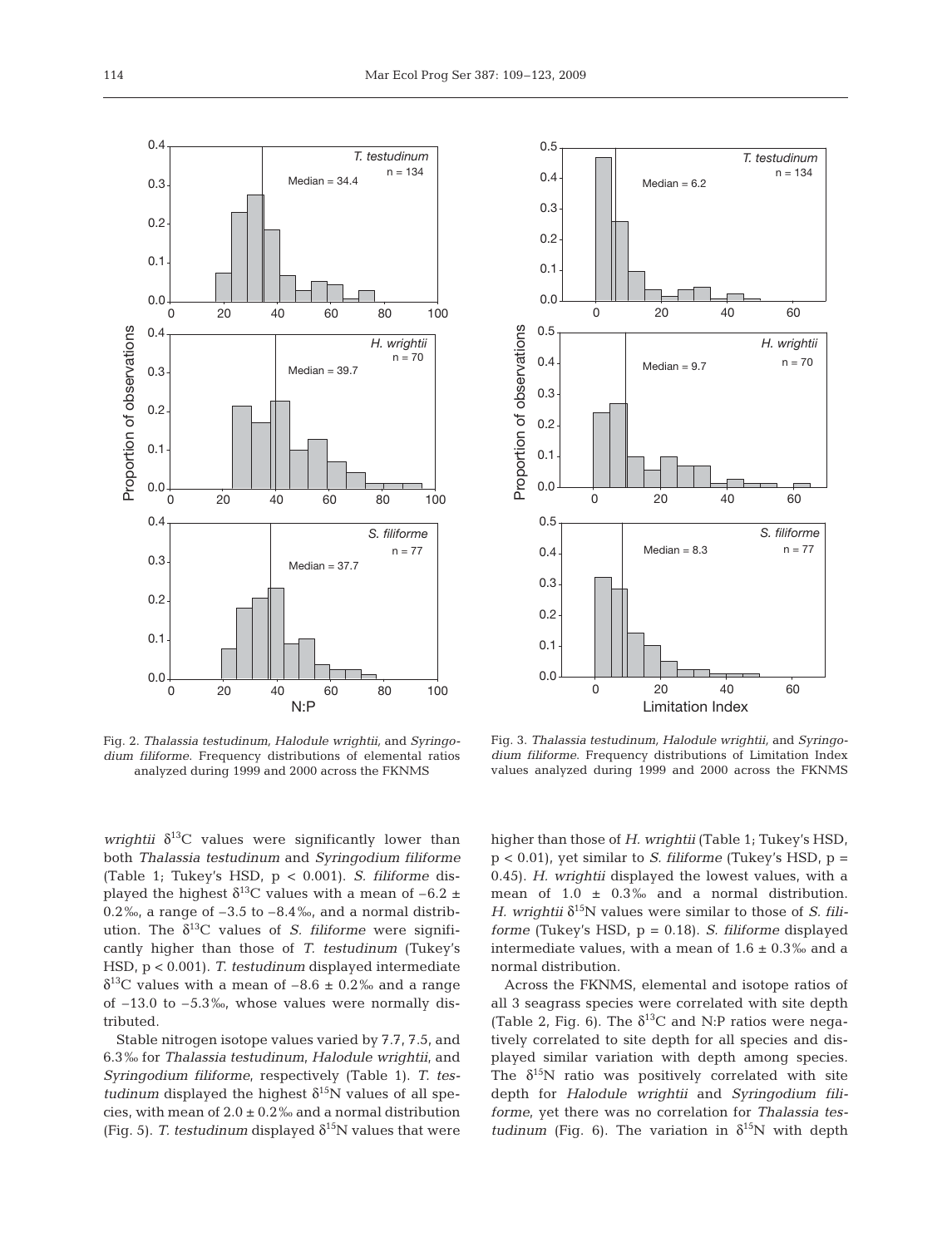



Fig. 2. *Thalassia testudinum, Halodule wrightii,* and *Syringodium filiforme*. Frequency distributions of elemental ratios analyzed during 1999 and 2000 across the FKNMS

Fig. 3. *Thalassia testudinum, Halodule wrightii,* and *Syringodium filiforme*. Frequency distributions of Limitation Index values analyzed during 1999 and 2000 across the FKNMS

*wrightii*  $\delta^{13}$ C values were significantly lower than both *Thalassia testudinum* and *Syringodium filiforme* (Table 1; Tukey's HSD, p < 0.001). *S. filiforme* displayed the highest  $\delta^{13}$ C values with a mean of -6.2  $\pm$ 0.2‰, a range of  $-3.5$  to  $-8.4$ ‰, and a normal distribution. The  $\delta^{13}$ C values of *S. filiforme* were significantly higher than those of *T. testudinum* (Tukey's HSD, p < 0.001). *T. testudinum* displayed intermediate  $\delta^{13}$ C values with a mean of –8.6  $\pm$  0.2‰ and a range of –13.0 to –5.3‰, whose values were normally distributed.

Stable nitrogen isotope values varied by 7.7, 7.5, and 6.3‰ for *Thalassia testudinum*, *Halodule wrightii*, and *Syringodium filiforme*, respectively (Table 1). *T. testudinum* displayed the highest  $\delta^{15}N$  values of all species, with mean of  $2.0 \pm 0.2$ % and a normal distribution (Fig. 5). *T. testudinum* displayed  $\delta^{15}N$  values that were higher than those of *H. wrightii* (Table 1; Tukey's HSD, p < 0.01), yet similar to *S. filiforme* (Tukey's HSD, p = 0.45). *H. wrightii* displayed the lowest values, with a mean of  $1.0 \pm 0.3\%$  and a normal distribution. *H. wrightii*  $\delta^{15}$ N values were similar to those of *S. filiforme* (Tukey's HSD, p = 0.18). *S. filiforme* displayed intermediate values, with a mean of  $1.6 \pm 0.3\%$  and a normal distribution.

Across the FKNMS, elemental and isotope ratios of all 3 seagrass species were correlated with site depth (Table 2, Fig. 6). The  $\delta^{13}$ C and N:P ratios were negatively correlated to site depth for all species and displayed similar variation with depth among species. The  $\delta^{15}$ N ratio was positively correlated with site depth for *Halodule wrightii* and *Syringodium filiforme*, yet there was no correlation for *Thalassia testudinum* (Fig. 6). The variation in  $\delta^{15}N$  with depth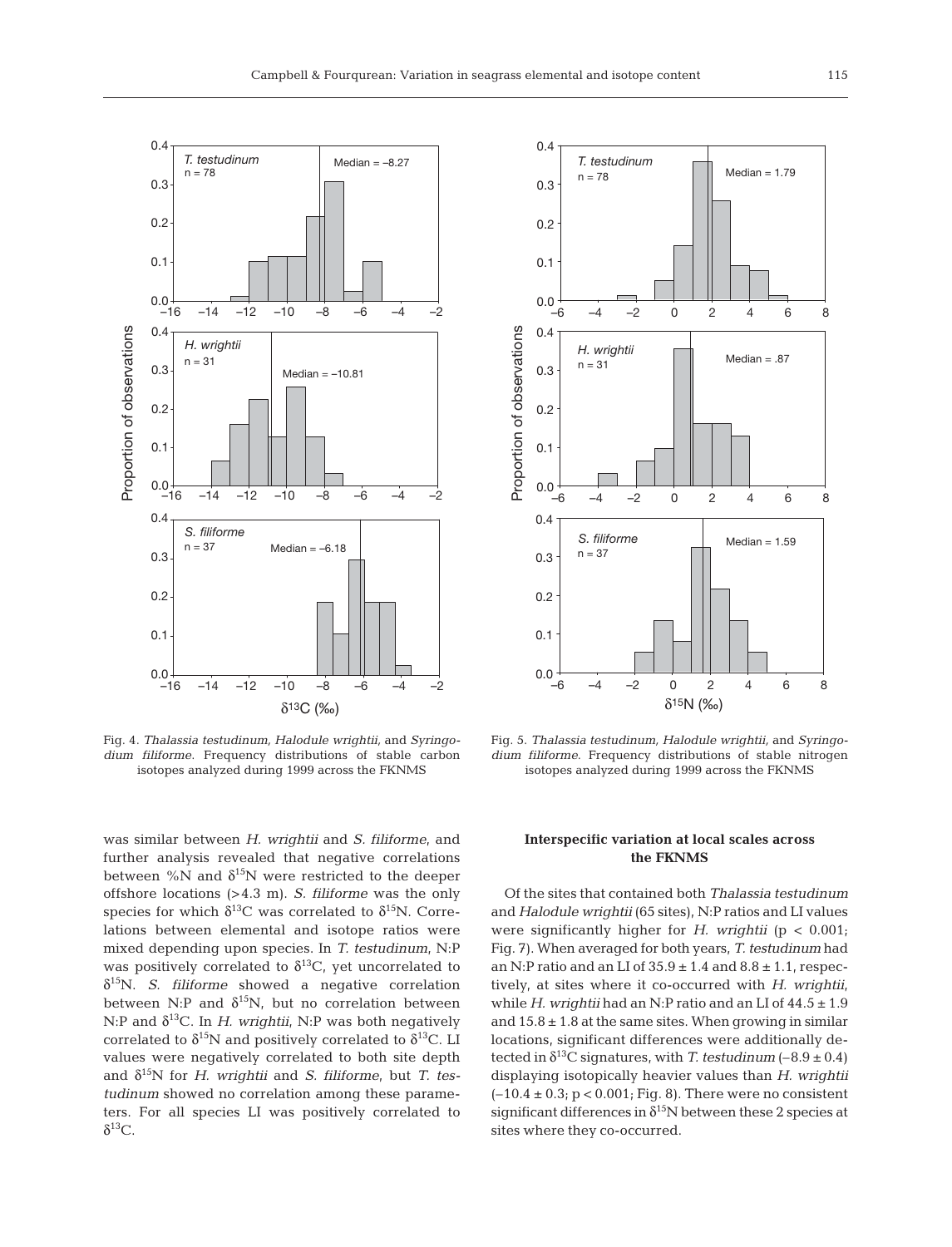

Fig. 4. *Thalassia testudinum, Halodule wrightii,* and *Syringodium filiforme*. Frequency distributions of stable carbon isotopes analyzed during 1999 across the FKNMS

was similar between *H. wrightii* and *S. filiforme*, and further analysis revealed that negative correlations between %N and  $\delta^{15}N$  were restricted to the deeper offshore locations (>4.3 m). *S. filiforme* was the only species for which  $\delta^{13}$ C was correlated to  $\delta^{15}$ N. Correlations between elemental and isotope ratios were mixed depending upon species. In *T. testudinum*, N:P was positively correlated to  $\delta^{13}C$ , yet uncorrelated to δ15N. *S. filiforme* showed a negative correlation between N:P and  $\delta^{15}N$ , but no correlation between N:P and  $\delta^{13}$ C. In *H. wrightii*, N:P was both negatively correlated to  $\delta^{15}N$  and positively correlated to  $\delta^{13}C$ . LI values were negatively correlated to both site depth and δ15N for *H. wrightii* and *S. filiforme*, but *T. testudinum* showed no correlation among these parameters. For all species LI was positively correlated to  $δ<sup>13</sup>C$ .



Fig. 5. *Thalassia testudinum, Halodule wrightii,* and *Syringodium filiforme*. Frequency distributions of stable nitrogen isotopes analyzed during 1999 across the FKNMS

## **Interspecific variation at local scales across the FKNMS**

Of the sites that contained both *Thalassia testudinum* and *Halodule wrightii* (65 sites), N:P ratios and LI values were significantly higher for *H. wrightii* (p < 0.001; Fig. 7). When averaged for both years, *T. testudinum* had an N:P ratio and an LI of  $35.9 \pm 1.4$  and  $8.8 \pm 1.1$ , respectively, at sites where it co-occurred with *H. wrightii*, while *H. wrightii* had an N:P ratio and an LI of 44.5 ± 1.9 and  $15.8 \pm 1.8$  at the same sites. When growing in similar locations, significant differences were additionally detected in  $\delta^{13}$ C signatures, with *T. testudinum* (–8.9 ± 0.4) displaying isotopically heavier values than *H. wrightii*  $(-10.4 \pm 0.3; p < 0.001;$  Fig. 8). There were no consistent significant differences in  $\delta^{15}N$  between these 2 species at sites where they co-occurred.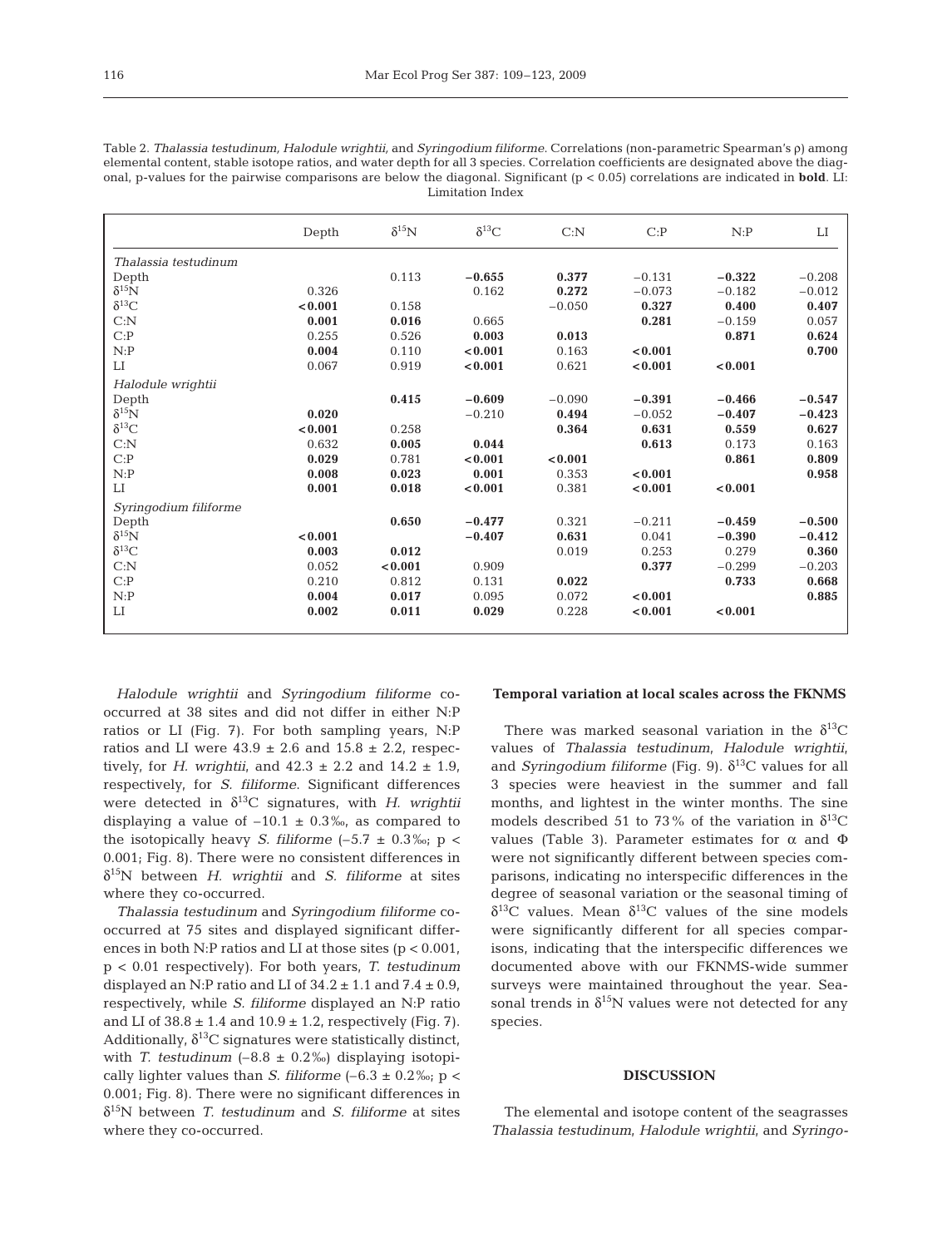| Table 2. Thalassia testudinum, Halodule wrightii, and Syringodium filiforme. Correlations (non-parametric Spearman's p) among                 |
|-----------------------------------------------------------------------------------------------------------------------------------------------|
| elemental content, stable isotope ratios, and water depth for all 3 species. Correlation coefficients are designated above the diag-          |
| onal, p-values for the pairwise comparisons are below the diagonal. Significant ( $p < 0.05$ ) correlations are indicated in <b>bold</b> . L. |
| Limitation Index                                                                                                                              |

|                       | Depth   | $\delta^{15}N$ | $\delta^{13}C$ | C: N     | C: P     | N:P      | $_{\rm LI}$ |
|-----------------------|---------|----------------|----------------|----------|----------|----------|-------------|
| Thalassia testudinum  |         |                |                |          |          |          |             |
| Depth                 |         | 0.113          | $-0.655$       | 0.377    | $-0.131$ | $-0.322$ | $-0.208$    |
| $\delta^{15}$ N       | 0.326   |                | 0.162          | 0.272    | $-0.073$ | $-0.182$ | $-0.012$    |
| $\delta^{13}C$        | < 0.001 | 0.158          |                | $-0.050$ | 0.327    | 0.400    | 0.407       |
| C: N                  | 0.001   | 0.016          | 0.665          |          | 0.281    | $-0.159$ | 0.057       |
| C: P                  | 0.255   | 0.526          | 0.003          | 0.013    |          | 0.871    | 0.624       |
| N: P                  | 0.004   | 0.110          | < 0.001        | 0.163    | < 0.001  |          | 0.700       |
| LI                    | 0.067   | 0.919          | < 0.001        | 0.621    | < 0.001  | < 0.001  |             |
| Halodule wrightii     |         |                |                |          |          |          |             |
| Depth                 |         | 0.415          | $-0.609$       | $-0.090$ | $-0.391$ | $-0.466$ | $-0.547$    |
| $\delta^{15}N$        | 0.020   |                | $-0.210$       | 0.494    | $-0.052$ | $-0.407$ | $-0.423$    |
| $\delta^{13}C$        | < 0.001 | 0.258          |                | 0.364    | 0.631    | 0.559    | 0.627       |
| C: N                  | 0.632   | 0.005          | 0.044          |          | 0.613    | 0.173    | 0.163       |
| C: P                  | 0.029   | 0.781          | < 0.001        | < 0.001  |          | 0.861    | 0.809       |
| N:P                   | 0.008   | 0.023          | 0.001          | 0.353    | < 0.001  |          | 0.958       |
| $_{\rm LI}$           | 0.001   | 0.018          | 0.001          | 0.381    | < 0.001  | < 0.001  |             |
| Syringodium filiforme |         |                |                |          |          |          |             |
| Depth                 |         | 0.650          | $-0.477$       | 0.321    | $-0.211$ | $-0.459$ | $-0.500$    |
| $\delta^{15}N$        | < 0.001 |                | $-0.407$       | 0.631    | 0.041    | $-0.390$ | $-0.412$    |
| $\delta^{13}C$        | 0.003   | 0.012          |                | 0.019    | 0.253    | 0.279    | 0.360       |
| C: N                  | 0.052   | < 0.001        | 0.909          |          | 0.377    | $-0.299$ | $-0.203$    |
| C: P                  | 0.210   | 0.812          | 0.131          | 0.022    |          | 0.733    | 0.668       |
| N:P                   | 0.004   | 0.017          | 0.095          | 0.072    | < 0.001  |          | 0.885       |
| LI                    | 0.002   | 0.011          | 0.029          | 0.228    | < 0.001  | < 0.001  |             |
|                       |         |                |                |          |          |          |             |

*Halodule wrightii* and *Syringodium filiforme* cooccurred at 38 sites and did not differ in either N:P ratios or LI (Fig. 7). For both sampling years, N:P ratios and LI were  $43.9 \pm 2.6$  and  $15.8 \pm 2.2$ , respectively, for *H. wrightii*, and  $42.3 \pm 2.2$  and  $14.2 \pm 1.9$ , respectively, for *S. filiforme*. Significant differences were detected in  $\delta^{13}$ C signatures, with *H. wrightii* displaying a value of  $-10.1 \pm 0.3\%$ , as compared to the isotopically heavy *S. filiforme*  $(-5.7 \pm 0.3\% \text{; p} <$ 0.001; Fig. 8). There were no consistent differences in δ15N between *H. wrightii* and *S. filiforme* at sites where they co-occurred.

*Thalassia testudinum* and *Syringodium filiforme* cooccurred at 75 sites and displayed significant differences in both N:P ratios and LI at those sites  $(p < 0.001)$ , p < 0.01 respectively). For both years, *T. testudinum* displayed an N:P ratio and LI of  $34.2 \pm 1.1$  and  $7.4 \pm 0.9$ , respectively, while *S. filiforme* displayed an N:P ratio and LI of  $38.8 \pm 1.4$  and  $10.9 \pm 1.2$ , respectively (Fig. 7). Additionally,  $\delta^{13}$ C signatures were statistically distinct, with *T. testudinum*  $(-8.8 \pm 0.2\%)$  displaying isotopically lighter values than *S. filiforme*  $(-6.3 \pm 0.2\%$ ; p < 0.001; Fig. 8). There were no significant differences in δ15N between *T. testudinum* and *S. filiforme* at sites where they co-occurred.

## **Temporal variation at local scales across the FKNMS**

There was marked seasonal variation in the  $\delta^{13}C$ values of *Thalassia testudinum*, *Halodule wrightii*, and *Syringodium filiforme* (Fig. 9).  $\delta^{13}$ C values for all 3 species were heaviest in the summer and fall months, and lightest in the winter months. The sine models described 51 to 73% of the variation in  $\delta^{13}C$ values (Table 3). Parameter estimates for  $\alpha$  and  $\Phi$ were not significantly different between species comparisons, indicating no interspecific differences in the degree of seasonal variation or the seasonal timing of  $\delta^{13}$ C values. Mean  $\delta^{13}$ C values of the sine models were significantly different for all species comparisons, indicating that the interspecific differences we documented above with our FKNMS-wide summer surveys were maintained throughout the year. Seasonal trends in  $\delta^{15}N$  values were not detected for any species.

#### **DISCUSSION**

The elemental and isotope content of the seagrasses *Thalassia testudinum*, *Halodule wrightii*, and *Syringo-*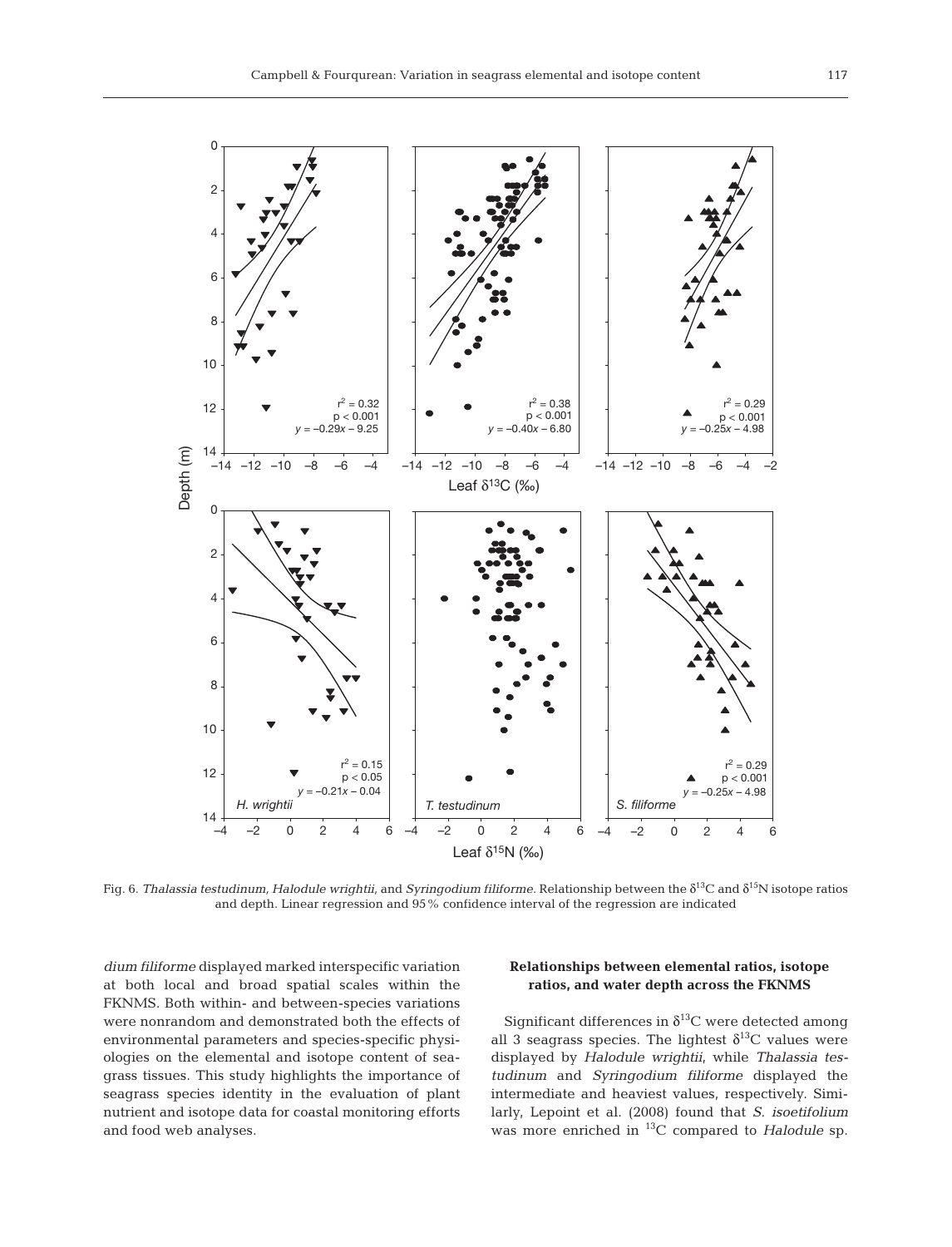

Fig. 6. *Thalassia testudinum, Halodule wrightii,* and *Syringodium filiforme*. Relationship between the δ13C and δ15N isotope ratios and depth. Linear regression and 95% confidence interval of the regression are indicated

*dium filiforme* displayed marked interspecific variation at both local and broad spatial scales within the FKNMS. Both within- and between-species variations were nonrandom and demonstrated both the effects of environmental parameters and species-specific physiologies on the elemental and isotope content of seagrass tissues. This study highlights the importance of seagrass species identity in the evaluation of plant nutrient and isotope data for coastal monitoring efforts and food web analyses.

# **Relationships between elemental ratios, isotope ratios, and water depth across the FKNMS**

Significant differences in  $\delta^{13}$ C were detected among all 3 seagrass species. The lightest  $\delta^{13}$ C values were displayed by *Halodule wrightii*, while *Thalassia testudinum* and *Syringodium filiforme* displayed the intermediate and heaviest values, respectively. Similarly, Lepoint et al. (2008) found that *S. isoetifolium* was more enriched in 13C compared to *Halodule* sp.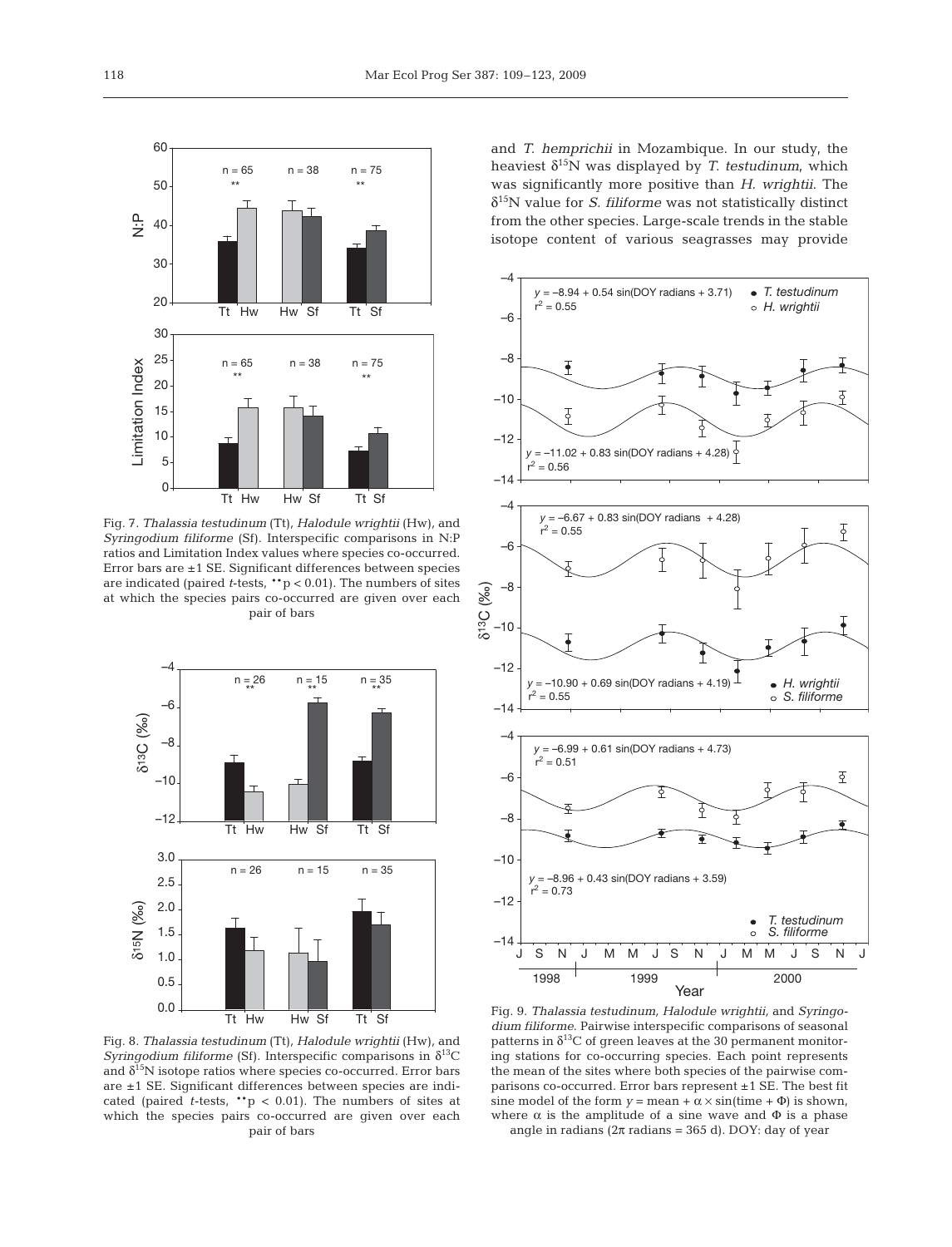

Fig. 7. *Thalassia testudinum* (Tt)*, Halodule wrightii* (Hw)*,* and *Syringodium filiforme* (Sf). Interspecific comparisons in N:P ratios and Limitation Index values where species co-occurred. Error bars are ±1 SE. Significant differences between species are indicated (paired *t*-tests, \*\*p < 0.01). The numbers of sites at which the species pairs co-occurred are given over each pair of bars



Fig. 8. *Thalassia testudinum* (Tt)*, Halodule wrightii* (Hw)*,* and *Syringodium filiforme* (Sf). Interspecific comparisons in  $\delta^{13}$ C and  $\delta^{15}$ N isotope ratios where species co-occurred. Error bars are ±1 SE. Significant differences between species are indicated (paired  $t$ -tests,  $**$ p < 0.01). The numbers of sites at which the species pairs co-occurred are given over each pair of bars

and *T. hemprichii* in Mozambique. In our study, the heaviest  $\delta^{15}N$  was displayed by *T. testudinum*, which was significantly more positive than *H. wrightii*. The δ15N value for *S. filiforme* was not statistically distinct from the other species. Large-scale trends in the stable isotope content of various seagrasses may provide



Fig. 9. *Thalassia testudinum, Halodule wrightii,* and *Syringodium filiforme*. Pairwise interspecific comparisons of seasonal patterns in  $\delta^{13}C$  of green leaves at the 30 permanent monitoring stations for co-occurring species. Each point represents the mean of the sites where both species of the pairwise comparisons co-occurred. Error bars represent ±1 SE. The best fit sine model of the form  $y = \text{mean} + \alpha \times \sin(\text{time} + \Phi)$  is shown, where  $\alpha$  is the amplitude of a sine wave and  $\Phi$  is a phase angle in radians ( $2\pi$  radians = 365 d). DOY: day of year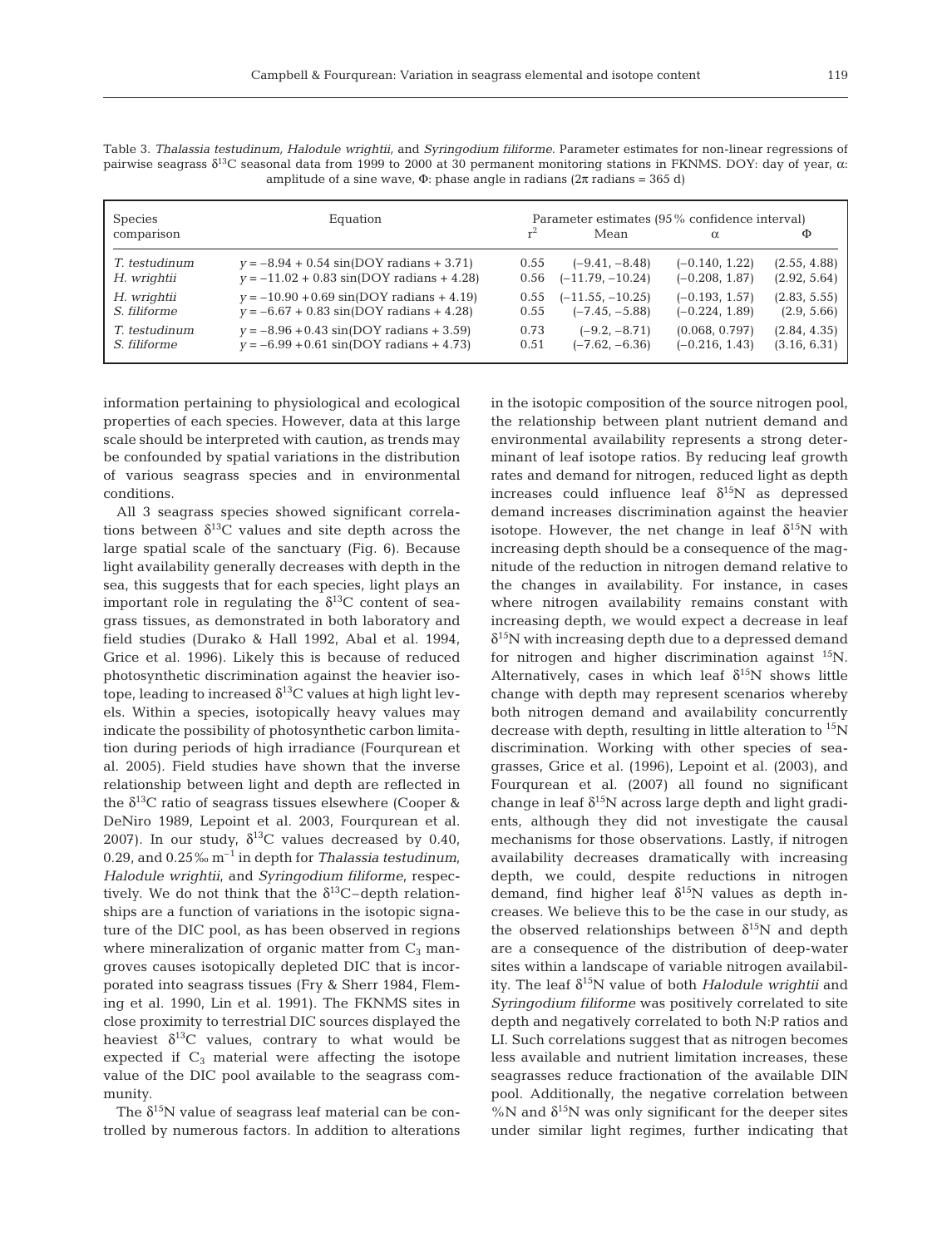| <b>Species</b>      | Equation                                             | Parameter estimates (95% confidence interval) |                    |                  |              |  |  |
|---------------------|------------------------------------------------------|-----------------------------------------------|--------------------|------------------|--------------|--|--|
| comparison          |                                                      | r <sup>2</sup>                                | Mean               |                  | Ф            |  |  |
| T. testudinum       | $y = -8.94 + 0.54 \sin(DOY \text{ radians} + 3.71)$  | 0.55                                          | $(-9.41, -8.48)$   | $(-0.140, 1.22)$ | (2.55, 4.88) |  |  |
| H. wrightii         | $y = -11.02 + 0.83 \sin(DOY \text{ radians} + 4.28)$ | 0.56                                          | $(-11.79, -10.24)$ | $(-0.208, 1.87)$ | (2.92, 5.64) |  |  |
| H. wrightii         | $v = -10.90 + 0.69 \sin(DOY \text{ radians} + 4.19)$ | 0.55                                          | $(-11.55, -10.25)$ | $(-0.193, 1.57)$ | (2.83, 5.55) |  |  |
| <i>S. filiforme</i> | $y = -6.67 + 0.83 \sin(DOY \text{ radians} + 4.28)$  | 0.55                                          | $(-7.45, -5.88)$   | $(-0.224, 1.89)$ | (2.9, 5.66)  |  |  |
| T. testudinum       | $y = -8.96 + 0.43 \sin(DOY \text{ radians} + 3.59)$  | 0.73                                          | $(-9.2, -8.71)$    | (0.068, 0.797)   | (2.84, 4.35) |  |  |
| S. filiforme        | $v = -6.99 + 0.61 \sin(DOY \text{ radians} + 4.73)$  | 0.51                                          | $(-7.62, -6.36)$   | $(-0.216, 1.43)$ | (3.16, 6.31) |  |  |

Table 3. *Thalassia testudinum, Halodule wrightii,* and *Syringodium filiforme*. Parameter estimates for non-linear regressions of pairwise seagrass δ13C seasonal data from 1999 to 2000 at 30 permanent monitoring stations in FKNMS. DOY: day of year, α: amplitude of a sine wave,  $\Phi$ : phase angle in radians ( $2\pi$  radians = 365 d)

information pertaining to physiological and ecological properties of each species. However, data at this large scale should be interpreted with caution, as trends may be confounded by spatial variations in the distribution of various seagrass species and in environmental conditions.

All 3 seagrass species showed significant correlations between  $\delta^{13}$ C values and site depth across the large spatial scale of the sanctuary (Fig. 6). Because light availability generally decreases with depth in the sea, this suggests that for each species, light plays an important role in regulating the  $\delta^{13}$ C content of seagrass tissues, as demonstrated in both laboratory and field studies (Durako & Hall 1992, Abal et al. 1994, Grice et al. 1996). Likely this is because of reduced photosynthetic discrimination against the heavier isotope, leading to increased  $\delta^{13}C$  values at high light levels. Within a species, isotopically heavy values may indicate the possibility of photosynthetic carbon limitation during periods of high irradiance (Fourqurean et al. 2005). Field studies have shown that the inverse relationship between light and depth are reflected in the  $\delta^{13}$ C ratio of seagrass tissues elsewhere (Cooper & DeNiro 1989, Lepoint et al. 2003, Fourqurean et al. 2007). In our study,  $\delta^{13}$ C values decreased by 0.40, 0.29, and 0.25‰ m–1 in depth for *Thalassia testudinum*, *Halodule wrightii*, and *Syringodium filiforme*, respectively. We do not think that the  $\delta^{13}C$ –depth relationships are a function of variations in the isotopic signature of the DIC pool, as has been observed in regions where mineralization of organic matter from  $C_3$  mangroves causes isotopically depleted DIC that is incorporated into seagrass tissues (Fry & Sherr 1984, Fleming et al. 1990, Lin et al. 1991). The FKNMS sites in close proximity to terrestrial DIC sources displayed the heaviest  $\delta^{13}$ C values, contrary to what would be expected if  $C_3$  material were affecting the isotope value of the DIC pool available to the seagrass community.

The  $\delta^{15}N$  value of seagrass leaf material can be controlled by numerous factors. In addition to alterations in the isotopic composition of the source nitrogen pool, the relationship between plant nutrient demand and environmental availability represents a strong determinant of leaf isotope ratios. By reducing leaf growth rates and demand for nitrogen, reduced light as depth increases could influence leaf  $\delta^{15}N$  as depressed demand increases discrimination against the heavier isotope. However, the net change in leaf  $\delta^{15}N$  with increasing depth should be a consequence of the magnitude of the reduction in nitrogen demand relative to the changes in availability. For instance, in cases where nitrogen availability remains constant with increasing depth, we would expect a decrease in leaf  $\delta^{15}$ N with increasing depth due to a depressed demand for nitrogen and higher discrimination against  $^{15}$ N. Alternatively, cases in which leaf  $\delta^{15}N$  shows little change with depth may represent scenarios whereby both nitrogen demand and availability concurrently decrease with depth, resulting in little alteration to <sup>15</sup>N discrimination. Working with other species of seagrasses, Grice et al. (1996), Lepoint et al. (2003), and Fourqurean et al. (2007) all found no significant change in leaf  $\delta^{15}N$  across large depth and light gradients, although they did not investigate the causal mechanisms for those observations. Lastly, if nitrogen availability decreases dramatically with increasing depth, we could, despite reductions in nitrogen demand, find higher leaf  $\delta^{15}N$  values as depth increases. We believe this to be the case in our study, as the observed relationships between  $\delta^{15}N$  and depth are a consequence of the distribution of deep-water sites within a landscape of variable nitrogen availability. The leaf  $\delta^{15}N$  value of both *Halodule wrightii* and *Syringodium filiforme* was positively correlated to site depth and negatively correlated to both N:P ratios and LI. Such correlations suggest that as nitrogen becomes less available and nutrient limitation increases, these seagrasses reduce fractionation of the available DIN pool. Additionally, the negative correlation between  $\%$ N and  $\delta^{15}$ N was only significant for the deeper sites under similar light regimes, further indicating that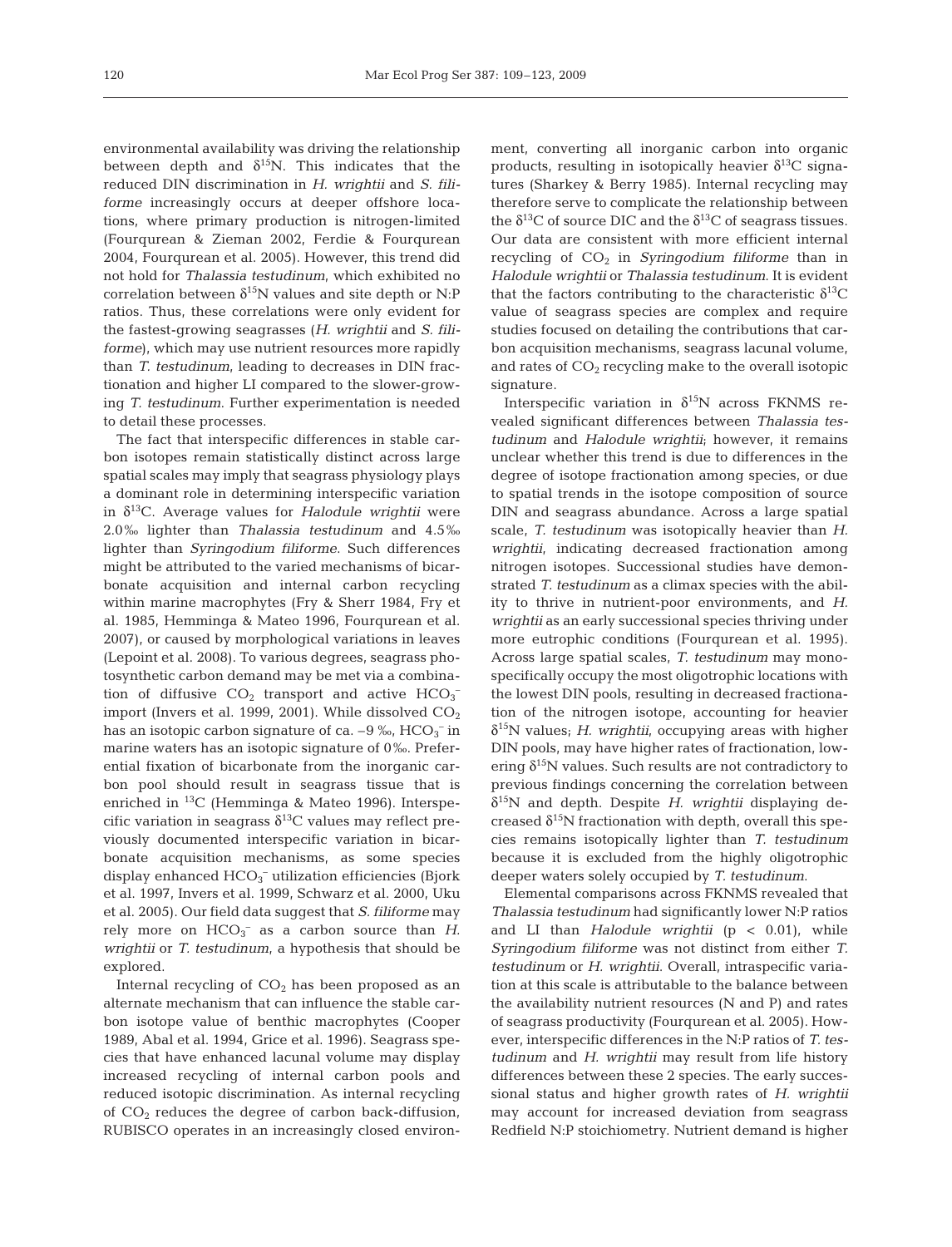environmental availability was driving the relationship between depth and  $\delta^{15}N$ . This indicates that the reduced DIN discrimination in *H. wrightii* and *S. filiforme* increasingly occurs at deeper offshore locations, where primary production is nitrogen-limited (Fourqurean & Zieman 2002, Ferdie & Fourqurean 2004, Fourqurean et al. 2005). However, this trend did not hold for *Thalassia testudinum*, which exhibited no correlation between  $\delta^{15}N$  values and site depth or N:P ratios. Thus, these correlations were only evident for the fastest-growing seagrasses (*H. wrightii* and *S. filiforme*), which may use nutrient resources more rapidly than *T. testudinum*, leading to decreases in DIN fractionation and higher LI compared to the slower-growing *T. testudinum*. Further experimentation is needed to detail these processes.

The fact that interspecific differences in stable carbon isotopes remain statistically distinct across large spatial scales may imply that seagrass physiology plays a dominant role in determining interspecific variation in  $\delta^{13}$ C. Average values for *Halodule wrightii* were 2.0‰ lighter than *Thalassia testudinum* and 4.5‰ lighter than *Syringodium filiforme*. Such differences might be attributed to the varied mechanisms of bicarbonate acquisition and internal carbon recycling within marine macrophytes (Fry & Sherr 1984, Fry et al. 1985, Hemminga & Mateo 1996, Fourqurean et al. 2007), or caused by morphological variations in leaves (Lepoint et al. 2008). To various degrees, seagrass photosynthetic carbon demand may be met via a combination of diffusive  $CO_2$  transport and active  $HCO_3^$ import (Invers et al. 1999, 2001). While dissolved  $CO<sub>2</sub>$ has an isotopic carbon signature of ca.  $-9\, \mathrm{\%o}, \mathrm{HCO_3}^-$  in marine waters has an isotopic signature of 0‰. Preferential fixation of bicarbonate from the inorganic carbon pool should result in seagrass tissue that is enriched in 13C (Hemminga & Mateo 1996). Interspecific variation in seagrass  $\delta^{13}$ C values may reflect previously documented interspecific variation in bicarbonate acquisition mechanisms, as some species display enhanced  $HCO_3^-$  utilization efficiencies (Bjork et al. 1997, Invers et al. 1999, Schwarz et al. 2000, Uku et al. 2005). Our field data suggest that *S. filiforme* may rely more on  $HCO_3^-$  as a carbon source than  $H$ . *wrightii* or *T. testudinum*, a hypothesis that should be explored.

Internal recycling of  $CO<sub>2</sub>$  has been proposed as an alternate mechanism that can influence the stable carbon isotope value of benthic macrophytes (Cooper 1989, Abal et al. 1994, Grice et al. 1996). Seagrass species that have enhanced lacunal volume may display increased recycling of internal carbon pools and reduced isotopic discrimination. As internal recycling of  $CO<sub>2</sub>$  reduces the degree of carbon back-diffusion, RUBISCO operates in an increasingly closed environment, converting all inorganic carbon into organic products, resulting in isotopically heavier  $\delta^{13}$ C signatures (Sharkey & Berry 1985). Internal recycling may therefore serve to complicate the relationship between the  $\delta^{13}$ C of source DIC and the  $\delta^{13}$ C of seagrass tissues. Our data are consistent with more efficient internal recycling of CO2 in *Syringodium filiforme* than in *Halodule wrightii* or *Thalassia testudinum*. It is evident that the factors contributing to the characteristic  $\delta^{13}C$ value of seagrass species are complex and require studies focused on detailing the contributions that carbon acquisition mechanisms, seagrass lacunal volume, and rates of  $CO<sub>2</sub>$  recycling make to the overall isotopic signature.

Interspecific variation in  $\delta^{15}N$  across FKNMS revealed significant differences between *Thalassia testudinum* and *Halodule wrightii*; however, it remains unclear whether this trend is due to differences in the degree of isotope fractionation among species, or due to spatial trends in the isotope composition of source DIN and seagrass abundance. Across a large spatial scale, *T. testudinum* was isotopically heavier than *H. wrightii*, indicating decreased fractionation among nitrogen isotopes. Successional studies have demonstrated *T. testudinum* as a climax species with the ability to thrive in nutrient-poor environments, and *H. wrightii* as an early successional species thriving under more eutrophic conditions (Fourqurean et al. 1995). Across large spatial scales, *T. testudinum* may monospecifically occupy the most oligotrophic locations with the lowest DIN pools, resulting in decreased fractionation of the nitrogen isotope, accounting for heavier δ15N values; *H. wrightii*, occupying areas with higher DIN pools, may have higher rates of fractionation, lowering  $\delta^{15}$ N values. Such results are not contradictory to previous findings concerning the correlation between δ15N and depth. Despite *H. wrightii* displaying decreased  $\delta^{15}$ N fractionation with depth, overall this species remains isotopically lighter than *T. testudinum* because it is excluded from the highly oligotrophic deeper waters solely occupied by *T. testudinum*.

Elemental comparisons across FKNMS revealed that *Thalassia testudinum* had significantly lower N:P ratios and LI than *Halodule wrightii* (p < 0.01), while *Syringodium filiforme* was not distinct from either *T. testudinum* or *H. wrightii*. Overall, intraspecific variation at this scale is attributable to the balance between the availability nutrient resources (N and P) and rates of seagrass productivity (Fourqurean et al. 2005). However, interspecific differences in the N:P ratios of *T. testudinum* and *H. wrightii* may result from life history differences between these 2 species. The early successional status and higher growth rates of *H. wrightii* may account for increased deviation from seagrass Redfield N:P stoichiometry. Nutrient demand is higher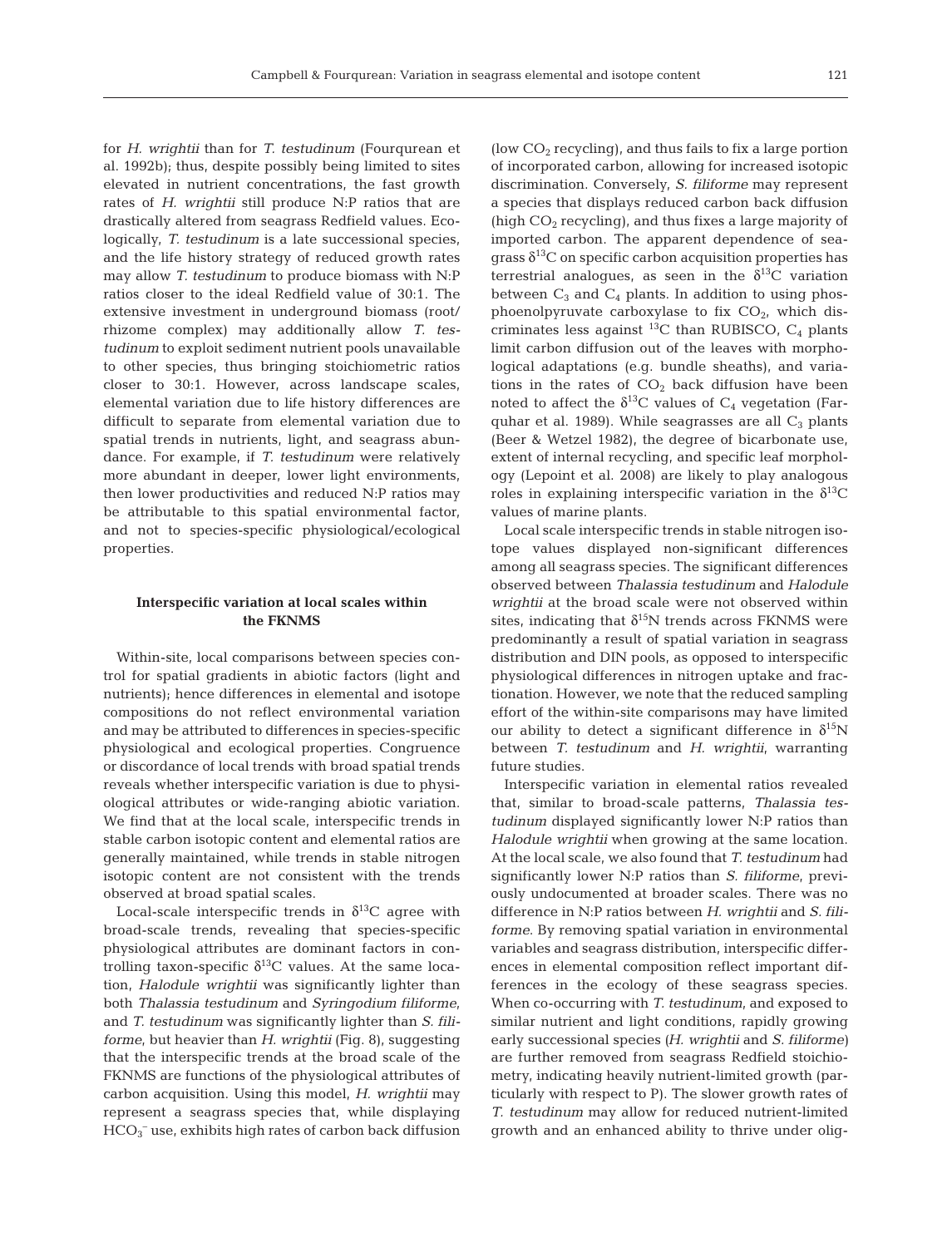for *H. wrightii* than for *T. testudinum* (Fourqurean et al. 1992b); thus, despite possibly being limited to sites elevated in nutrient concentrations, the fast growth rates of *H. wrightii* still produce N:P ratios that are drastically altered from seagrass Redfield values. Ecologically, *T. testudinum* is a late successional species, and the life history strategy of reduced growth rates may allow *T. testudinum* to produce biomass with N:P ratios closer to the ideal Redfield value of 30:1. The extensive investment in underground biomass (root/ rhizome complex) may additionally allow *T. testudinum* to exploit sediment nutrient pools unavailable to other species, thus bringing stoichiometric ratios closer to 30:1. However, across landscape scales, elemental variation due to life history differences are difficult to separate from elemental variation due to spatial trends in nutrients, light, and seagrass abundance. For example, if *T. testudinum* were relatively more abundant in deeper, lower light environments, then lower productivities and reduced N:P ratios may be attributable to this spatial environmental factor, and not to species-specific physiological/ecological properties.

# **Interspecific variation at local scales within the FKNMS**

Within-site, local comparisons between species control for spatial gradients in abiotic factors (light and nutrients); hence differences in elemental and isotope compositions do not reflect environmental variation and may be attributed to differences in species-specific physiological and ecological properties. Congruence or discordance of local trends with broad spatial trends reveals whether interspecific variation is due to physiological attributes or wide-ranging abiotic variation. We find that at the local scale, interspecific trends in stable carbon isotopic content and elemental ratios are generally maintained, while trends in stable nitrogen isotopic content are not consistent with the trends observed at broad spatial scales.

Local-scale interspecific trends in  $\delta^{13}$ C agree with broad-scale trends, revealing that species-specific physiological attributes are dominant factors in controlling taxon-specific  $\delta^{13}$ C values. At the same location, *Halodule wrightii* was significantly lighter than both *Thalassia testudinum* and *Syringodium filiforme*, and *T. testudinum* was significantly lighter than *S. filiforme*, but heavier than *H. wrightii* (Fig. 8), suggesting that the interspecific trends at the broad scale of the FKNMS are functions of the physiological attributes of carbon acquisition. Using this model, *H. wrightii* may represent a seagrass species that, while displaying  $\rm{HCO_3^-}$  use, exhibits high rates of carbon back diffusion

(low  $CO<sub>2</sub>$  recycling), and thus fails to fix a large portion of incorporated carbon, allowing for increased isotopic discrimination. Conversely, *S. filiforme* may represent a species that displays reduced carbon back diffusion (high  $CO<sub>2</sub>$  recycling), and thus fixes a large majority of imported carbon. The apparent dependence of seagrass  $\delta^{13}$ C on specific carbon acquisition properties has terrestrial analogues, as seen in the  $\delta^{13}C$  variation between  $C_3$  and  $C_4$  plants. In addition to using phosphoenolpyruvate carboxylase to fix  $CO<sub>2</sub>$ , which discriminates less against  $^{13}$ C than RUBISCO, C<sub>4</sub> plants limit carbon diffusion out of the leaves with morphological adaptations (e.g. bundle sheaths), and variations in the rates of  $CO<sub>2</sub>$  back diffusion have been noted to affect the  $\delta^{13}$ C values of C<sub>4</sub> vegetation (Farquhar et al. 1989). While seagrasses are all  $C_3$  plants (Beer & Wetzel 1982), the degree of bicarbonate use, extent of internal recycling, and specific leaf morphology (Lepoint et al. 2008) are likely to play analogous roles in explaining interspecific variation in the  $\delta^{13}C$ values of marine plants.

Local scale interspecific trends in stable nitrogen isotope values displayed non-significant differences among all seagrass species. The significant differences observed between *Thalassia testudinum* and *Halodule wrightii* at the broad scale were not observed within sites, indicating that  $\delta^{15}N$  trends across FKNMS were predominantly a result of spatial variation in seagrass distribution and DIN pools, as opposed to interspecific physiological differences in nitrogen uptake and fractionation. However, we note that the reduced sampling effort of the within-site comparisons may have limited our ability to detect a significant difference in  $\delta^{15}N$ between *T. testudinum* and *H. wrightii*, warranting future studies.

Interspecific variation in elemental ratios revealed that, similar to broad-scale patterns, *Thalassia testudinum* displayed significantly lower N:P ratios than *Halodule wrightii* when growing at the same location. At the local scale, we also found that *T. testudinum* had significantly lower N:P ratios than *S. filiforme*, previously undocumented at broader scales. There was no difference in N:P ratios between *H. wrightii* and *S. filiforme*. By removing spatial variation in environmental variables and seagrass distribution, interspecific differences in elemental composition reflect important differences in the ecology of these seagrass species. When co-occurring with *T. testudinum*, and exposed to similar nutrient and light conditions, rapidly growing early successional species *(H. wrightii* and *S. filiforme)* are further removed from seagrass Redfield stoichiometry, indicating heavily nutrient-limited growth (particularly with respect to P). The slower growth rates of *T. testudinum* may allow for reduced nutrient-limited growth and an enhanced ability to thrive under olig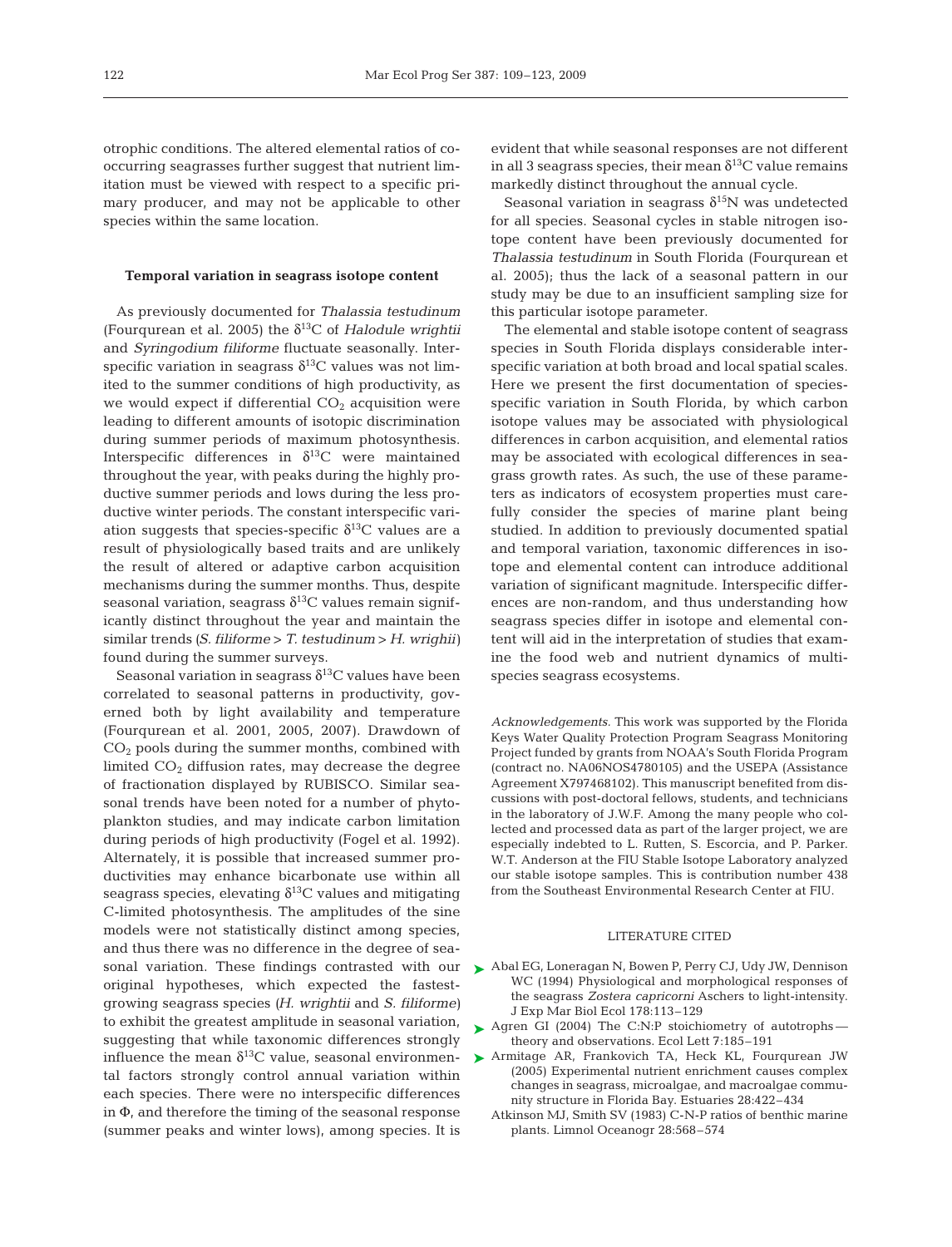otrophic conditions. The altered elemental ratios of cooccurring seagrasses further suggest that nutrient limitation must be viewed with respect to a specific primary producer, and may not be applicable to other species within the same location.

#### **Temporal variation in seagrass isotope content**

As previously documented for *Thalassia testudinum* (Fourqurean et al. 2005) the  $\delta^{13}$ C of *Halodule wrightii* and *Syringodium filiforme* fluctuate seasonally. Interspecific variation in seagrass  $\delta^{13}$ C values was not limited to the summer conditions of high productivity, as we would expect if differential  $CO<sub>2</sub>$  acquisition were leading to different amounts of isotopic discrimination during summer periods of maximum photosynthesis. Interspecific differences in  $\delta^{13}$ C were maintained throughout the year, with peaks during the highly productive summer periods and lows during the less productive winter periods. The constant interspecific variation suggests that species-specific  $\delta^{13}$ C values are a result of physiologically based traits and are unlikely the result of altered or adaptive carbon acquisition mechanisms during the summer months. Thus, despite seasonal variation, seagrass  $\delta^{13}$ C values remain significantly distinct throughout the year and maintain the similar trends *(S. filiforme* > *T. testudinum* > *H. wrighii)* found during the summer surveys.

Seasonal variation in seagrass  $\delta^{13}$ C values have been correlated to seasonal patterns in productivity, governed both by light availability and temperature (Fourqurean et al. 2001, 2005, 2007). Drawdown of  $CO<sub>2</sub>$  pools during the summer months, combined with limited  $CO<sub>2</sub>$  diffusion rates, may decrease the degree of fractionation displayed by RUBISCO. Similar seasonal trends have been noted for a number of phytoplankton studies, and may indicate carbon limitation during periods of high productivity (Fogel et al. 1992). Alternately, it is possible that increased summer productivities may enhance bicarbonate use within all seagrass species, elevating  $\delta^{13}$ C values and mitigating C-limited photosynthesis. The amplitudes of the sine models were not statistically distinct among species, and thus there was no difference in the degree of seaoriginal hypotheses, which expected the fastestgrowing seagrass species *(H. wrightii* and *S. filiforme)* to exhibit the greatest amplitude in seasonal variation, suggesting that while taxonomic differences strongly influence the mean  $\delta^{13}$ C value, seasonal environmental factors strongly control annual variation within each species. There were no interspecific differences in Φ, and therefore the timing of the seasonal response (summer peaks and winter lows), among species. It is

evident that while seasonal responses are not different in all 3 seagrass species, their mean  $\delta^{13}$ C value remains markedly distinct throughout the annual cycle.

Seasonal variation in seagrass  $\delta^{15}N$  was undetected for all species. Seasonal cycles in stable nitrogen isotope content have been previously documented for *Thalassia testudinum* in South Florida (Fourqurean et al. 2005); thus the lack of a seasonal pattern in our study may be due to an insufficient sampling size for this particular isotope parameter.

The elemental and stable isotope content of seagrass species in South Florida displays considerable interspecific variation at both broad and local spatial scales. Here we present the first documentation of speciesspecific variation in South Florida, by which carbon isotope values may be associated with physiological differences in carbon acquisition, and elemental ratios may be associated with ecological differences in seagrass growth rates. As such, the use of these parameters as indicators of ecosystem properties must carefully consider the species of marine plant being studied. In addition to previously documented spatial and temporal variation, taxonomic differences in isotope and elemental content can introduce additional variation of significant magnitude. Interspecific differences are non-random, and thus understanding how seagrass species differ in isotope and elemental content will aid in the interpretation of studies that examine the food web and nutrient dynamics of multispecies seagrass ecosystems.

*Acknowledgements.* This work was supported by the Florida Keys Water Quality Protection Program Seagrass Monitoring Project funded by grants from NOAA's South Florida Program (contract no. NA06NOS4780105) and the USEPA (Assistance Agreement X797468102). This manuscript benefited from discussions with post-doctoral fellows, students, and technicians in the laboratory of J.W.F. Among the many people who collected and processed data as part of the larger project, we are especially indebted to L. Rutten, S. Escorcia, and P. Parker. W.T. Anderson at the FIU Stable Isotope Laboratory analyzed our stable isotope samples. This is contribution number 438 from the Southeast Environmental Research Center at FIU.

#### LITERATURE CITED

- sonal variation. These findings contrasted with our  $\blacktriangleright$  Abal EG, Loneragan N, Bowen P, Perry CJ, Udy JW, Dennison WC (1994) Physiological and morphological responses of the seagrass *Zostera capricorni* Aschers to light-intensity. J Exp Mar Biol Ecol 178:113–129
	- ▶ Agren GI (2004) The C:N:P stoichiometry of autotrophs theory and observations. Ecol Lett 7:185–191
	- Armitage AR, Frankovich TA, Heck KL, Fourqurean JW ➤(2005) Experimental nutrient enrichment causes complex changes in seagrass, microalgae, and macroalgae community structure in Florida Bay. Estuaries 28:422–434
		- Atkinson MJ, Smith SV (1983) C-N-P ratios of benthic marine plants. Limnol Oceanogr 28:568–574